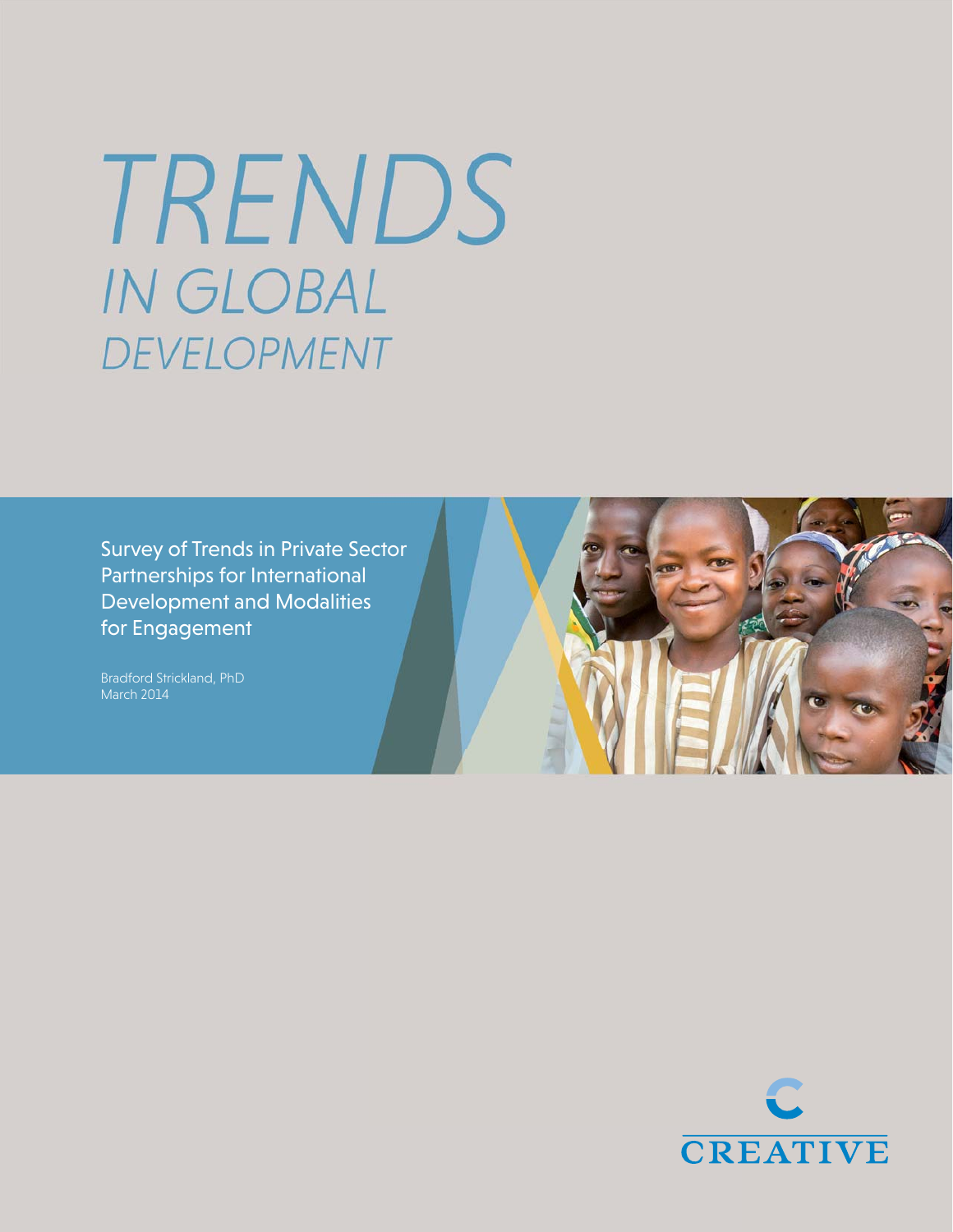# TRENDS IN GLOBAL DEVELOPMENT

Survey of Trends in Private Sector Partnerships for International Development and Modalities for Engagement

Bradford Strickland, PhD March 2014



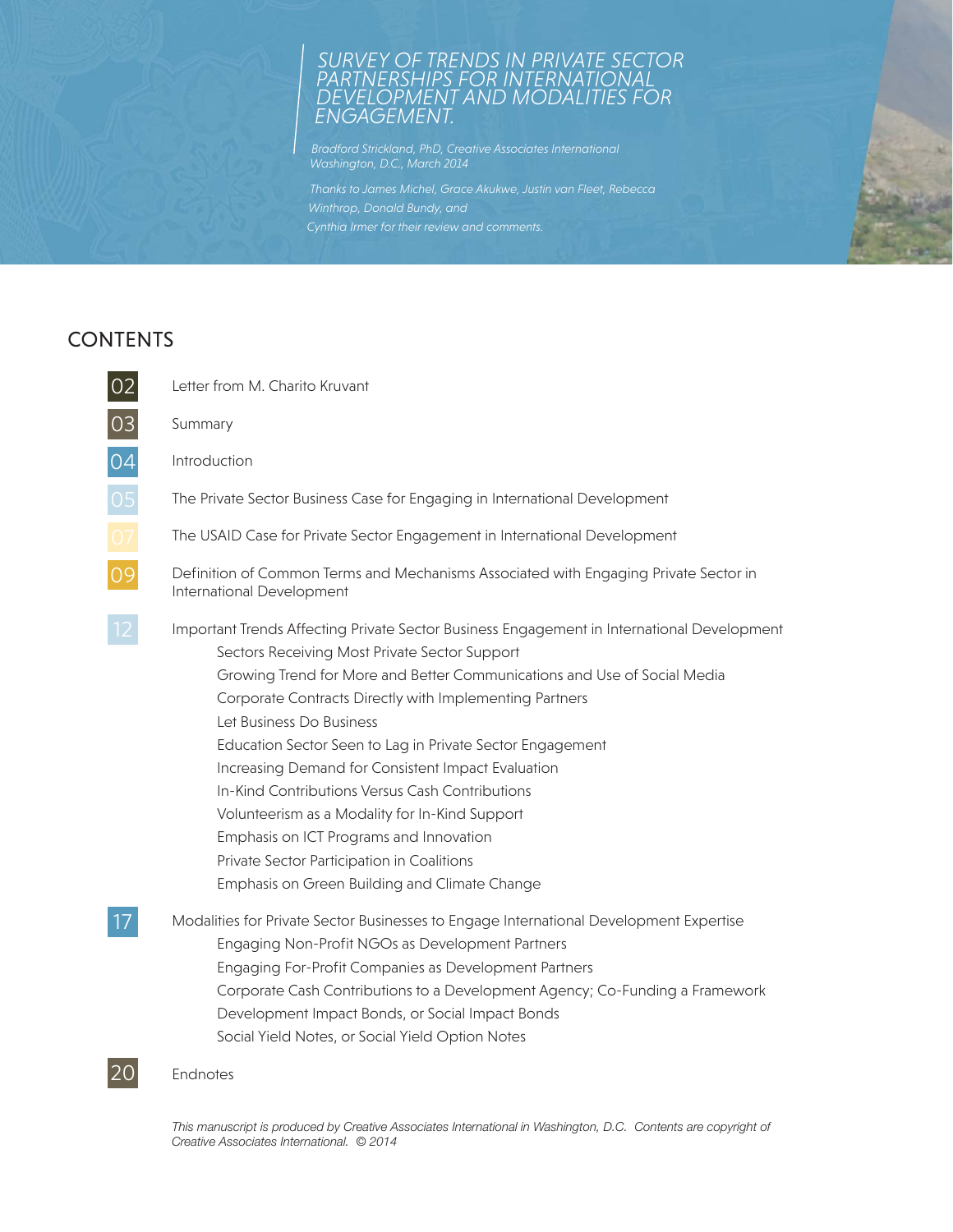## *SURVEY OF TRENDS IN PRIVATE SECTOR PARTNERSHIPS FOR INTERNATIONAL DEVELOPMENT AND MODALITIES FOR ENGAGEMENT.*

*Bradford Strickland, PhD, Creative Associates International Washington, D.C., March 2014*

*Cynthia Irmer for their review and comments.*

# CONTENTS

| 02       | Letter from M. Charito Kruvant                                                                                                                                                                                                                                                                                                                                                                                                                                                                                                                                                                                                                                                   |  |  |
|----------|----------------------------------------------------------------------------------------------------------------------------------------------------------------------------------------------------------------------------------------------------------------------------------------------------------------------------------------------------------------------------------------------------------------------------------------------------------------------------------------------------------------------------------------------------------------------------------------------------------------------------------------------------------------------------------|--|--|
|          | Summary                                                                                                                                                                                                                                                                                                                                                                                                                                                                                                                                                                                                                                                                          |  |  |
| 04       | Introduction                                                                                                                                                                                                                                                                                                                                                                                                                                                                                                                                                                                                                                                                     |  |  |
|          | The Private Sector Business Case for Engaging in International Development                                                                                                                                                                                                                                                                                                                                                                                                                                                                                                                                                                                                       |  |  |
| 05<br>07 | The USAID Case for Private Sector Engagement in International Development                                                                                                                                                                                                                                                                                                                                                                                                                                                                                                                                                                                                        |  |  |
| 09       | Definition of Common Terms and Mechanisms Associated with Engaging Private Sector in<br>International Development                                                                                                                                                                                                                                                                                                                                                                                                                                                                                                                                                                |  |  |
|          | Important Trends Affecting Private Sector Business Engagement in International Development<br>Sectors Receiving Most Private Sector Support<br>Growing Trend for More and Better Communications and Use of Social Media<br>Corporate Contracts Directly with Implementing Partners<br>Let Business Do Business<br>Education Sector Seen to Lag in Private Sector Engagement<br>Increasing Demand for Consistent Impact Evaluation<br>In-Kind Contributions Versus Cash Contributions<br>Volunteerism as a Modality for In-Kind Support<br>Emphasis on ICT Programs and Innovation<br>Private Sector Participation in Coalitions<br>Emphasis on Green Building and Climate Change |  |  |
|          | Modalities for Private Sector Businesses to Engage International Development Expertise<br>Engaging Non-Profit NGOs as Development Partners<br>Engaging For-Profit Companies as Development Partners<br>Corporate Cash Contributions to a Development Agency; Co-Funding a Framework<br>Development Impact Bonds, or Social Impact Bonds<br>Social Yield Notes, or Social Yield Option Notes                                                                                                                                                                                                                                                                                      |  |  |
| 20       | Endnotes                                                                                                                                                                                                                                                                                                                                                                                                                                                                                                                                                                                                                                                                         |  |  |

*This manuscript is produced by Creative Associates International in Washington, D.C. Contents are copyright of Creative Associates International. © 2014*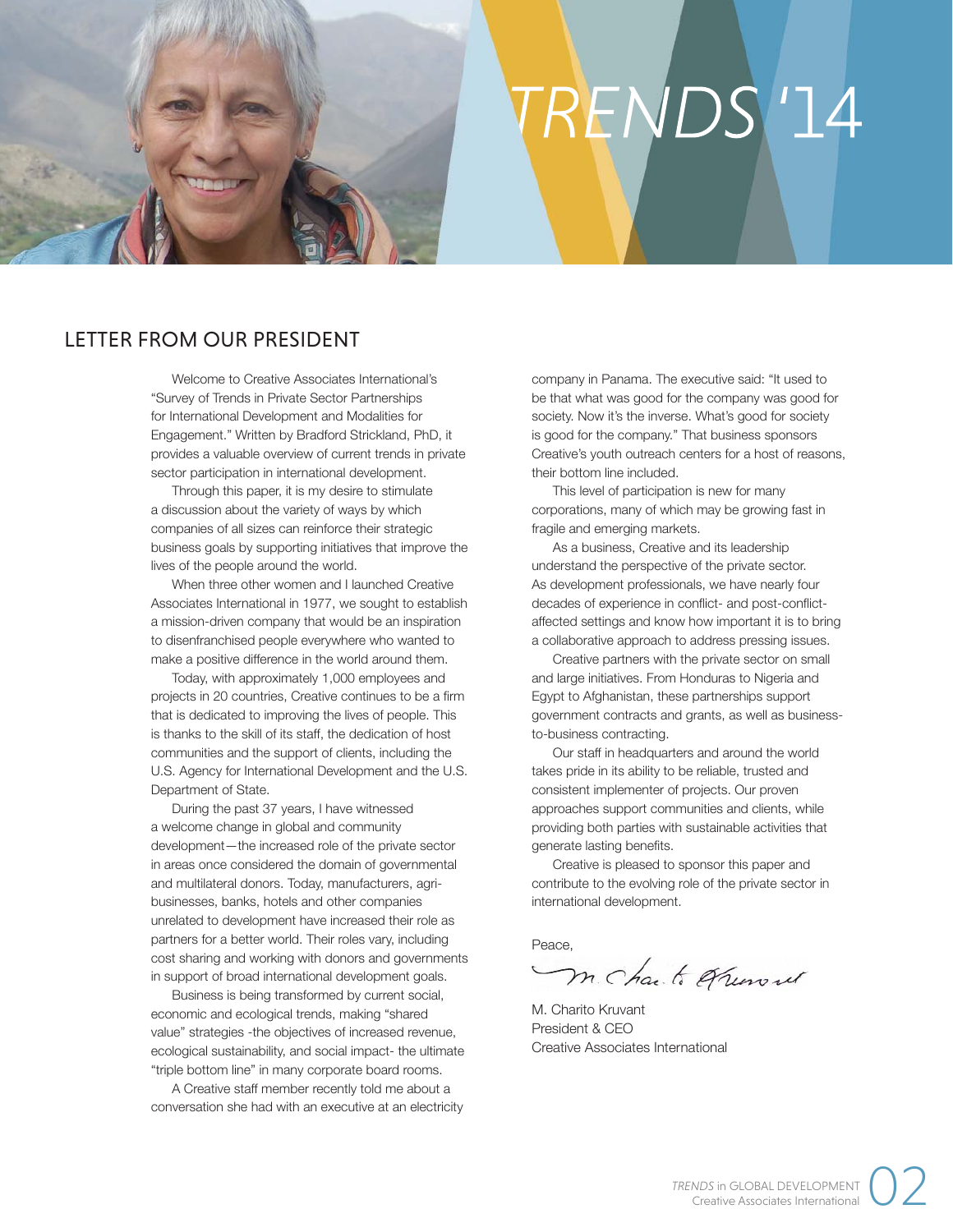# RENDS<sup>1</sup>14

# LETTER FROM OUR PRESIDENT

Welcome to Creative Associates International's "Survey of Trends in Private Sector Partnerships for International Development and Modalities for Engagement." Written by Bradford Strickland, PhD, it provides a valuable overview of current trends in private sector participation in international development.

Through this paper, it is my desire to stimulate a discussion about the variety of ways by which companies of all sizes can reinforce their strategic business goals by supporting initiatives that improve the lives of the people around the world.

When three other women and I launched Creative Associates International in 1977, we sought to establish a mission-driven company that would be an inspiration to disenfranchised people everywhere who wanted to make a positive difference in the world around them.

Today, with approximately 1,000 employees and projects in 20 countries, Creative continues to be a firm that is dedicated to improving the lives of people. This is thanks to the skill of its staff, the dedication of host communities and the support of clients, including the U.S. Agency for International Development and the U.S. Department of State.

During the past 37 years, I have witnessed a welcome change in global and community development—the increased role of the private sector in areas once considered the domain of governmental and multilateral donors. Today, manufacturers, agribusinesses, banks, hotels and other companies unrelated to development have increased their role as partners for a better world. Their roles vary, including cost sharing and working with donors and governments in support of broad international development goals.

Business is being transformed by current social, economic and ecological trends, making "shared value" strategies -the objectives of increased revenue, ecological sustainability, and social impact- the ultimate "triple bottom line" in many corporate board rooms.

A Creative staff member recently told me about a conversation she had with an executive at an electricity

company in Panama. The executive said: "It used to be that what was good for the company was good for society. Now it's the inverse. What's good for society is good for the company." That business sponsors Creative's youth outreach centers for a host of reasons, their bottom line included.

This level of participation is new for many corporations, many of which may be growing fast in fragile and emerging markets.

As a business, Creative and its leadership understand the perspective of the private sector. As development professionals, we have nearly four decades of experience in conflict- and post-conflictaffected settings and know how important it is to bring a collaborative approach to address pressing issues.

Creative partners with the private sector on small and large initiatives. From Honduras to Nigeria and Egypt to Afghanistan, these partnerships support government contracts and grants, as well as businessto-business contracting.

Our staff in headquarters and around the world takes pride in its ability to be reliable, trusted and consistent implementer of projects. Our proven approaches support communities and clients, while providing both parties with sustainable activities that generate lasting benefits.

Creative is pleased to sponsor this paper and contribute to the evolving role of the private sector in international development.

Peace,

m. Charli Ofunoul

M. Charito Kruvant President & CEO Creative Associates International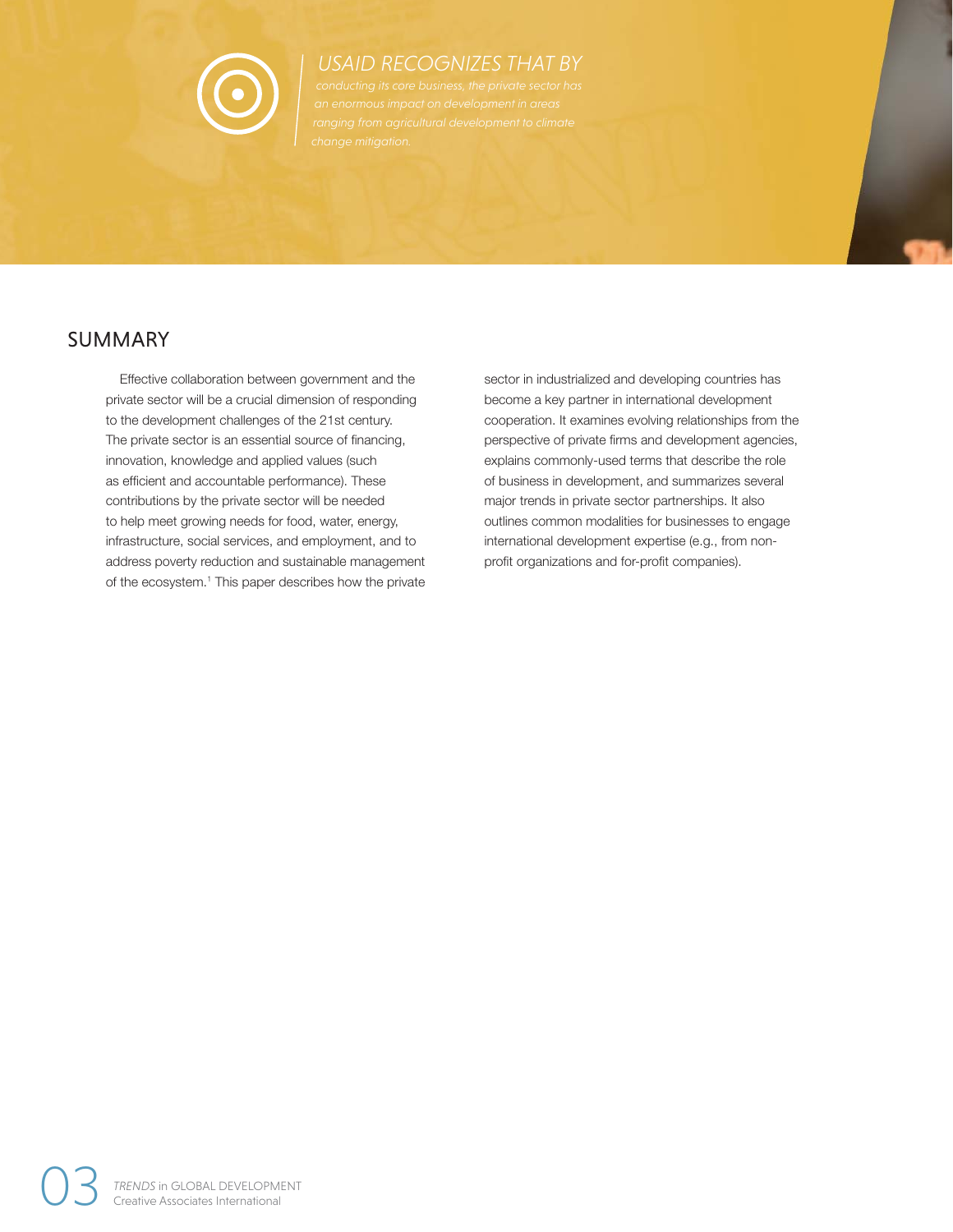

# *USAID RECOGNIZES THAT BY*

# SUMMARY

Effective collaboration between government and the private sector will be a crucial dimension of responding to the development challenges of the 21st century. The private sector is an essential source of financing, innovation, knowledge and applied values (such as efficient and accountable performance). These contributions by the private sector will be needed to help meet growing needs for food, water, energy, infrastructure, social services, and employment, and to address poverty reduction and sustainable management of the ecosystem.<sup>1</sup> This paper describes how the private sector in industrialized and developing countries has become a key partner in international development cooperation. It examines evolving relationships from the perspective of private firms and development agencies, explains commonly-used terms that describe the role of business in development, and summarizes several major trends in private sector partnerships. It also outlines common modalities for businesses to engage international development expertise (e.g., from nonprofit organizations and for-profit companies).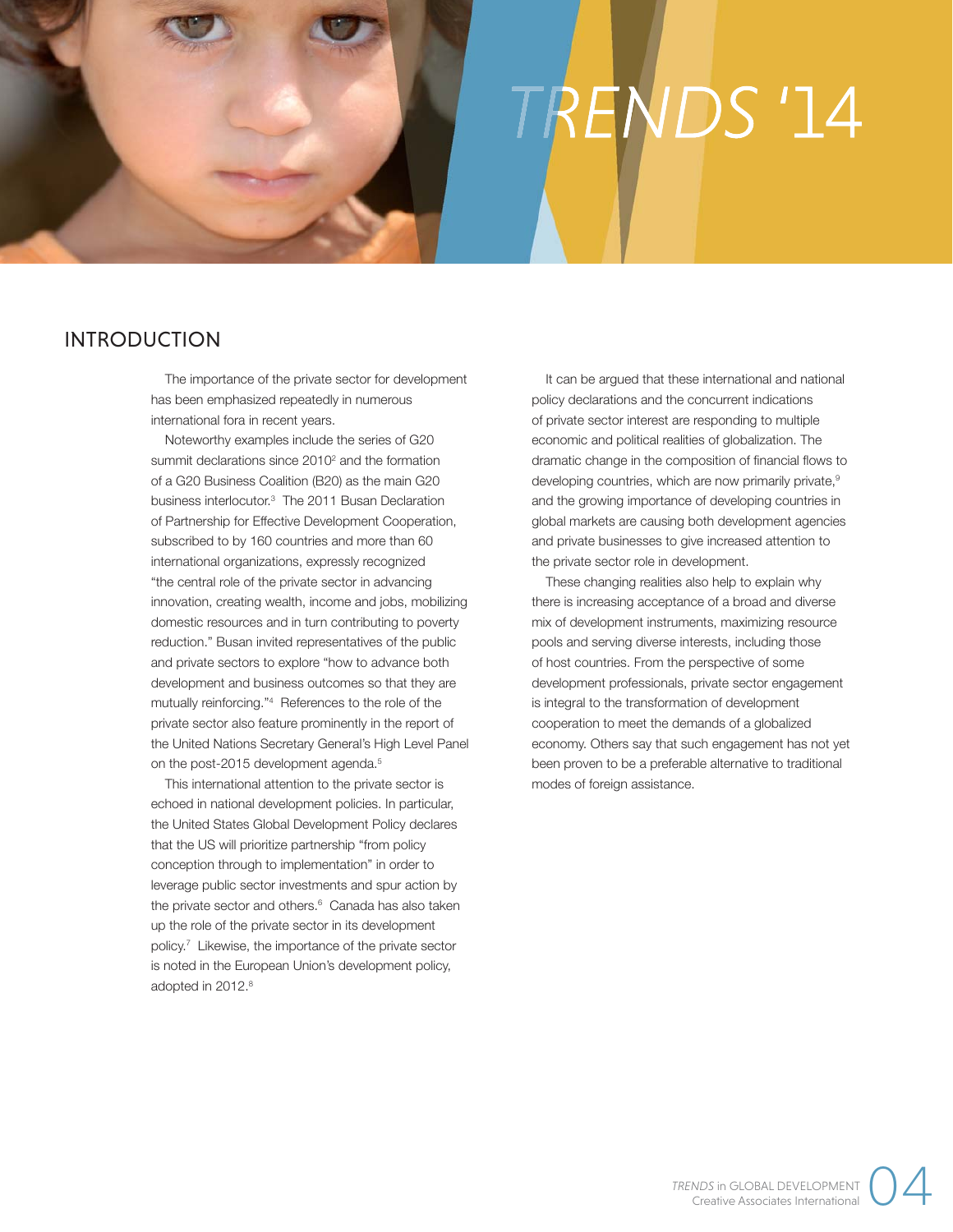# TRENDS '14

# INTRODUCTION

The importance of the private sector for development has been emphasized repeatedly in numerous international fora in recent years.

Noteworthy examples include the series of G20 summit declarations since 2010<sup>2</sup> and the formation of a G20 Business Coalition (B20) as the main G20 business interlocutor.3 The 2011 Busan Declaration of Partnership for Effective Development Cooperation, subscribed to by 160 countries and more than 60 international organizations, expressly recognized "the central role of the private sector in advancing innovation, creating wealth, income and jobs, mobilizing domestic resources and in turn contributing to poverty reduction." Busan invited representatives of the public and private sectors to explore "how to advance both development and business outcomes so that they are mutually reinforcing."4 References to the role of the private sector also feature prominently in the report of the United Nations Secretary General's High Level Panel on the post-2015 development agenda.<sup>5</sup>

This international attention to the private sector is echoed in national development policies. In particular, the United States Global Development Policy declares that the US will prioritize partnership "from policy conception through to implementation" in order to leverage public sector investments and spur action by the private sector and others.<sup>6</sup> Canada has also taken up the role of the private sector in its development policy.7 Likewise, the importance of the private sector is noted in the European Union's development policy, adopted in 2012.<sup>8</sup>

It can be argued that these international and national policy declarations and the concurrent indications of private sector interest are responding to multiple economic and political realities of globalization. The dramatic change in the composition of financial flows to developing countries, which are now primarily private,<sup>9</sup> and the growing importance of developing countries in global markets are causing both development agencies and private businesses to give increased attention to the private sector role in development.

These changing realities also help to explain why there is increasing acceptance of a broad and diverse mix of development instruments, maximizing resource pools and serving diverse interests, including those of host countries. From the perspective of some development professionals, private sector engagement is integral to the transformation of development cooperation to meet the demands of a globalized economy. Others say that such engagement has not yet been proven to be a preferable alternative to traditional modes of foreign assistance.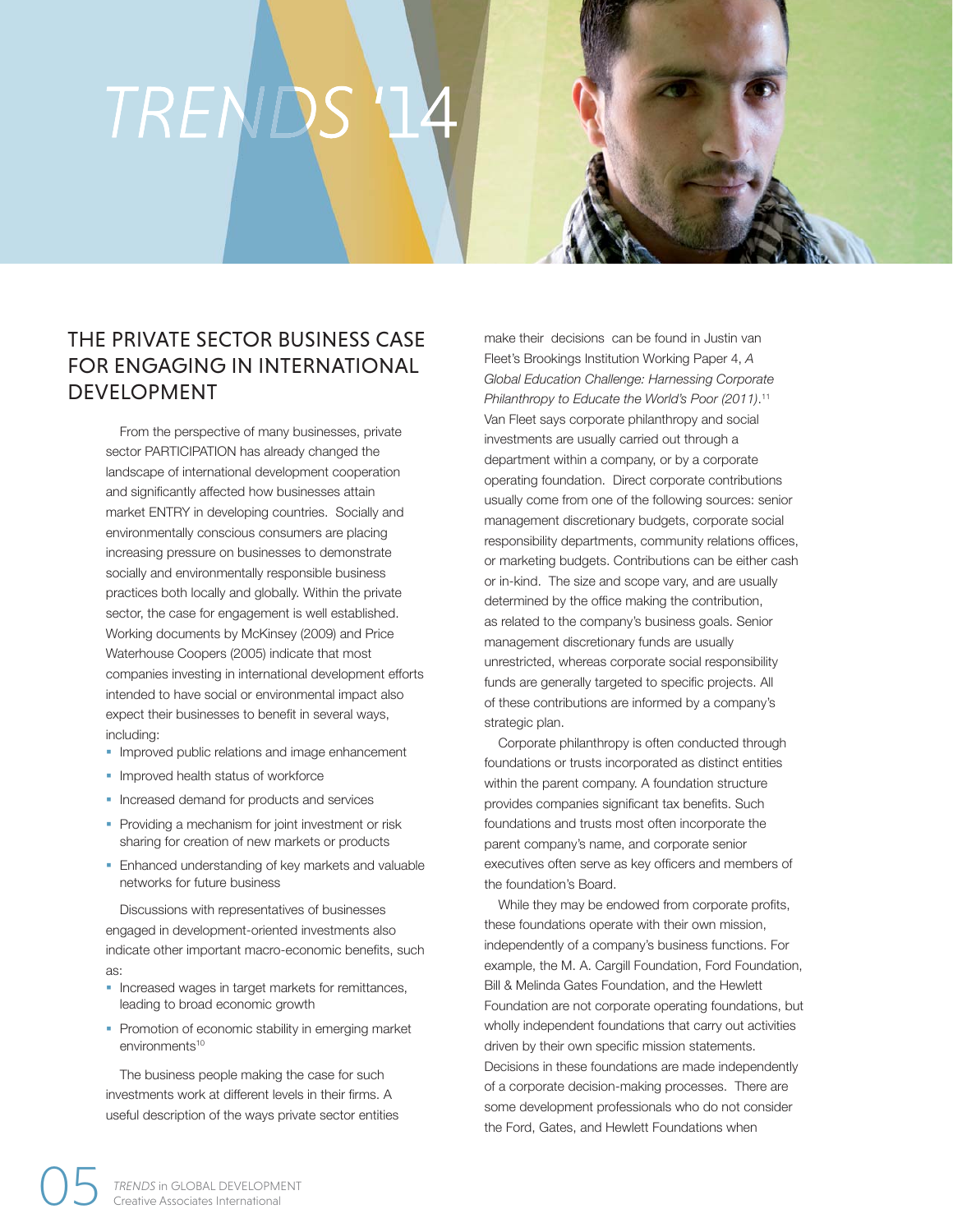# TRENDS

# THE PRIVATE SECTOR BUSINESS CASE FOR ENGAGING IN INTERNATIONAL DEVELOPMENT

From the perspective of many businesses, private sector PARTICIPATION has already changed the landscape of international development cooperation and significantly affected how businesses attain market ENTRY in developing countries. Socially and environmentally conscious consumers are placing increasing pressure on businesses to demonstrate socially and environmentally responsible business practices both locally and globally. Within the private sector, the case for engagement is well established. Working documents by McKinsey (2009) and Price Waterhouse Coopers (2005) indicate that most companies investing in international development efforts intended to have social or environmental impact also expect their businesses to benefit in several ways, including:

- **Improved public relations and image enhancement**
- Improved health status of workforce
- Increased demand for products and services
- Providing a mechanism for joint investment or risk sharing for creation of new markets or products
- Enhanced understanding of key markets and valuable networks for future business

Discussions with representatives of businesses engaged in development-oriented investments also indicate other important macro-economic benefits, such as:

- § Increased wages in target markets for remittances, leading to broad economic growth
- Promotion of economic stability in emerging market environments<sup>10</sup>

The business people making the case for such investments work at different levels in their firms. A useful description of the ways private sector entities make their decisions can be found in Justin van Fleet's Brookings Institution Working Paper 4, *A Global Education Challenge: Harnessing Corporate Philanthropy to Educate the World's Poor (2011)*. 11 Van Fleet says corporate philanthropy and social investments are usually carried out through a department within a company, or by a corporate operating foundation. Direct corporate contributions usually come from one of the following sources: senior management discretionary budgets, corporate social responsibility departments, community relations offices, or marketing budgets. Contributions can be either cash or in-kind. The size and scope vary, and are usually determined by the office making the contribution, as related to the company's business goals. Senior management discretionary funds are usually unrestricted, whereas corporate social responsibility funds are generally targeted to specific projects. All of these contributions are informed by a company's strategic plan.

Corporate philanthropy is often conducted through foundations or trusts incorporated as distinct entities within the parent company. A foundation structure provides companies significant tax benefits. Such foundations and trusts most often incorporate the parent company's name, and corporate senior executives often serve as key officers and members of the foundation's Board.

While they may be endowed from corporate profits, these foundations operate with their own mission, independently of a company's business functions. For example, the M. A. Cargill Foundation, Ford Foundation, Bill & Melinda Gates Foundation, and the Hewlett Foundation are not corporate operating foundations, but wholly independent foundations that carry out activities driven by their own specific mission statements. Decisions in these foundations are made independently of a corporate decision-making processes. There are some development professionals who do not consider the Ford, Gates, and Hewlett Foundations when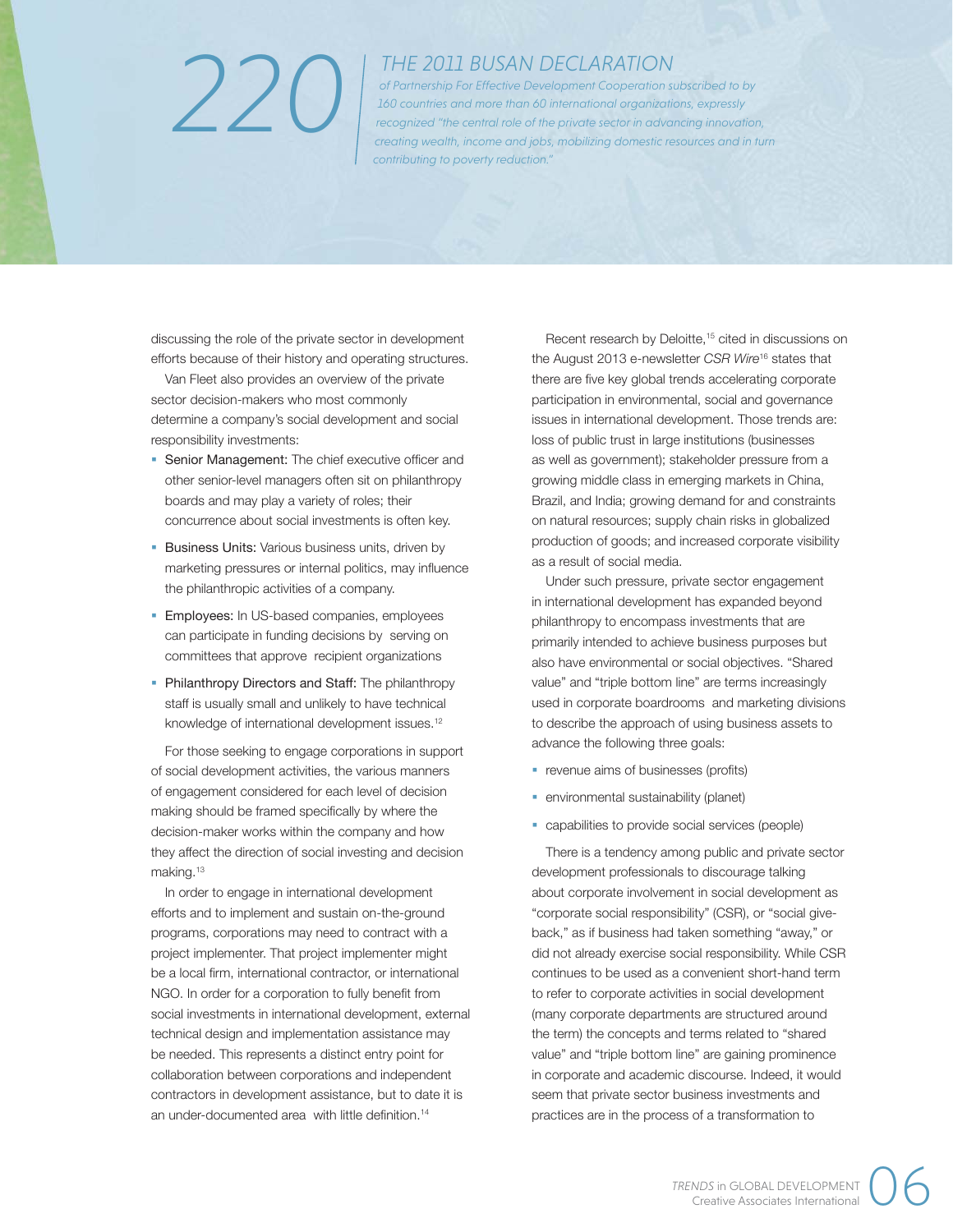# *220*

## *THE 2011 BUSAN DECLARATION*

*of Partnership For Effective Development Cooperation subscribed to by 160 countries and more than 60 international organizations, expressly recognized "the central role of the private sector in advancing innovation, creating wealth, income and jobs, mobilizing domestic resources and in turn contributing to poverty reduction."*

discussing the role of the private sector in development efforts because of their history and operating structures.

Van Fleet also provides an overview of the private sector decision-makers who most commonly determine a company's social development and social responsibility investments:

- Senior Management: The chief executive officer and other senior-level managers often sit on philanthropy boards and may play a variety of roles; their concurrence about social investments is often key.
- **Business Units: Various business units, driven by** marketing pressures or internal politics, may influence the philanthropic activities of a company.
- **Employees:** In US-based companies, employees can participate in funding decisions by serving on committees that approve recipient organizations
- Philanthropy Directors and Staff: The philanthropy staff is usually small and unlikely to have technical knowledge of international development issues.<sup>12</sup>

For those seeking to engage corporations in support of social development activities, the various manners of engagement considered for each level of decision making should be framed specifically by where the decision-maker works within the company and how they affect the direction of social investing and decision making.13

In order to engage in international development efforts and to implement and sustain on-the-ground programs, corporations may need to contract with a project implementer. That project implementer might be a local firm, international contractor, or international NGO. In order for a corporation to fully benefit from social investments in international development, external technical design and implementation assistance may be needed. This represents a distinct entry point for collaboration between corporations and independent contractors in development assistance, but to date it is an under-documented area with little definition.<sup>14</sup>

Recent research by Deloitte,<sup>15</sup> cited in discussions on the August 2013 e-newsletter *CSR Wire*16 states that there are five key global trends accelerating corporate participation in environmental, social and governance issues in international development. Those trends are: loss of public trust in large institutions (businesses as well as government); stakeholder pressure from a growing middle class in emerging markets in China, Brazil, and India; growing demand for and constraints on natural resources; supply chain risks in globalized production of goods; and increased corporate visibility as a result of social media.

Under such pressure, private sector engagement in international development has expanded beyond philanthropy to encompass investments that are primarily intended to achieve business purposes but also have environmental or social objectives. "Shared value" and "triple bottom line" are terms increasingly used in corporate boardrooms and marketing divisions to describe the approach of using business assets to advance the following three goals:

- revenue aims of businesses (profits)
- **•** environmental sustainability (planet)
- capabilities to provide social services (people)

There is a tendency among public and private sector development professionals to discourage talking about corporate involvement in social development as "corporate social responsibility" (CSR), or "social giveback," as if business had taken something "away," or did not already exercise social responsibility. While CSR continues to be used as a convenient short-hand term to refer to corporate activities in social development (many corporate departments are structured around the term) the concepts and terms related to "shared value" and "triple bottom line" are gaining prominence in corporate and academic discourse. Indeed, it would seem that private sector business investments and practices are in the process of a transformation to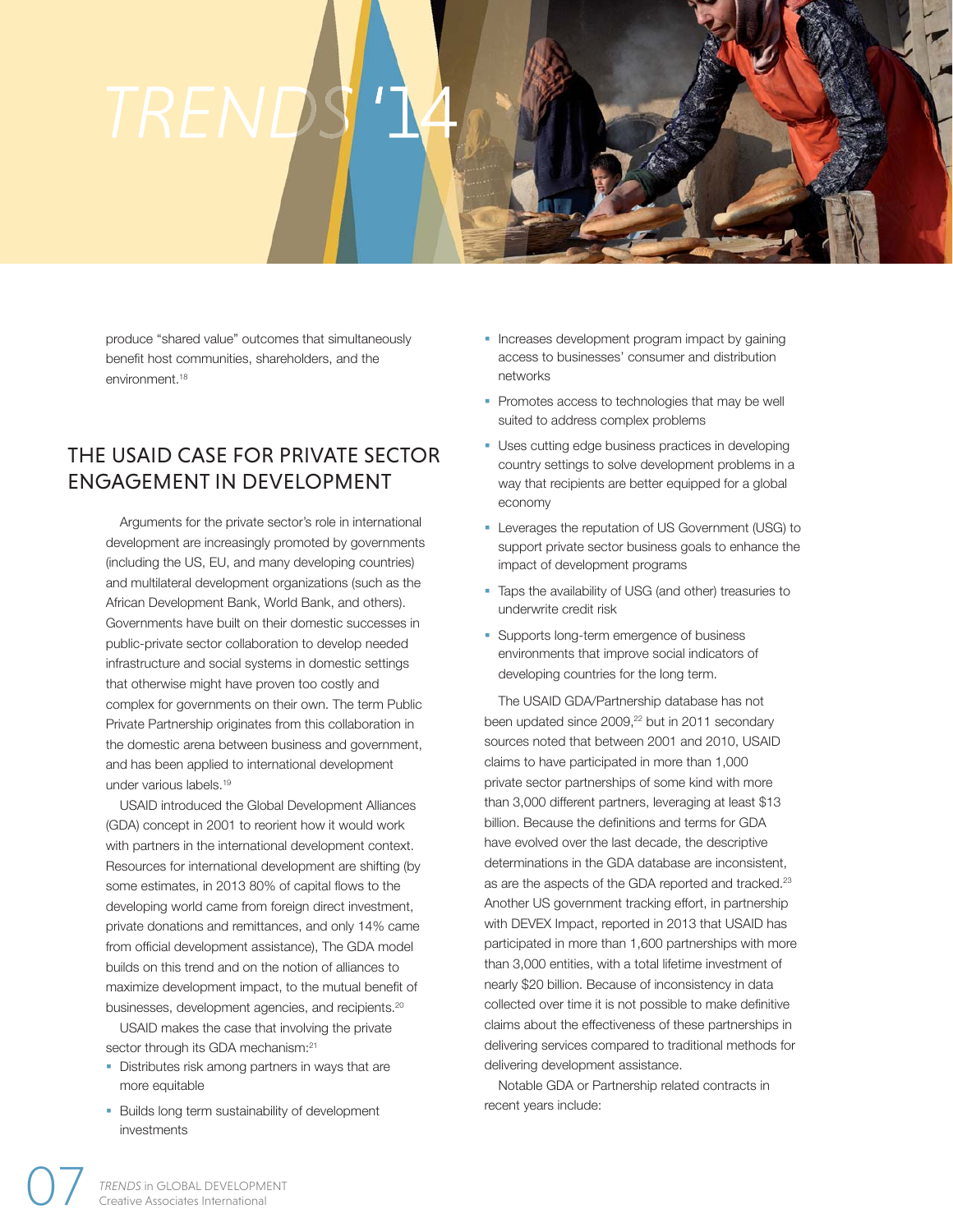produce "shared value" outcomes that simultaneously benefit host communities, shareholders, and the environment.<sup>18</sup>

# THE USAID CASE FOR PRIVATE SECTOR ENGAGEMENT IN DEVELOPMENT

Arguments for the private sector's role in international development are increasingly promoted by governments (including the US, EU, and many developing countries) and multilateral development organizations (such as the African Development Bank, World Bank, and others). Governments have built on their domestic successes in public-private sector collaboration to develop needed infrastructure and social systems in domestic settings that otherwise might have proven too costly and complex for governments on their own. The term Public Private Partnership originates from this collaboration in the domestic arena between business and government, and has been applied to international development under various labels.19

USAID introduced the Global Development Alliances (GDA) concept in 2001 to reorient how it would work with partners in the international development context. Resources for international development are shifting (by some estimates, in 2013 80% of capital flows to the developing world came from foreign direct investment, private donations and remittances, and only 14% came from official development assistance), The GDA model builds on this trend and on the notion of alliances to maximize development impact, to the mutual benefit of businesses, development agencies, and recipients.20

USAID makes the case that involving the private sector through its GDA mechanism:<sup>21</sup>

- Distributes risk among partners in ways that are more equitable
- Builds long term sustainability of development investments
- Increases development program impact by gaining access to businesses' consumer and distribution networks
- Promotes access to technologies that may be well suited to address complex problems
- § Uses cutting edge business practices in developing country settings to solve development problems in a way that recipients are better equipped for a global economy
- § Leverages the reputation of US Government (USG) to support private sector business goals to enhance the impact of development programs
- Taps the availability of USG (and other) treasuries to underwrite credit risk
- § Supports long-term emergence of business environments that improve social indicators of developing countries for the long term.

The USAID GDA/Partnership database has not been updated since 2009,<sup>22</sup> but in 2011 secondary sources noted that between 2001 and 2010, USAID claims to have participated in more than 1,000 private sector partnerships of some kind with more than 3,000 different partners, leveraging at least \$13 billion. Because the definitions and terms for GDA have evolved over the last decade, the descriptive determinations in the GDA database are inconsistent, as are the aspects of the GDA reported and tracked.23 Another US government tracking effort, in partnership with DEVEX Impact, reported in 2013 that USAID has participated in more than 1,600 partnerships with more than 3,000 entities, with a total lifetime investment of nearly \$20 billion. Because of inconsistency in data collected over time it is not possible to make definitive claims about the effectiveness of these partnerships in delivering services compared to traditional methods for delivering development assistance.

Notable GDA or Partnership related contracts in recent years include: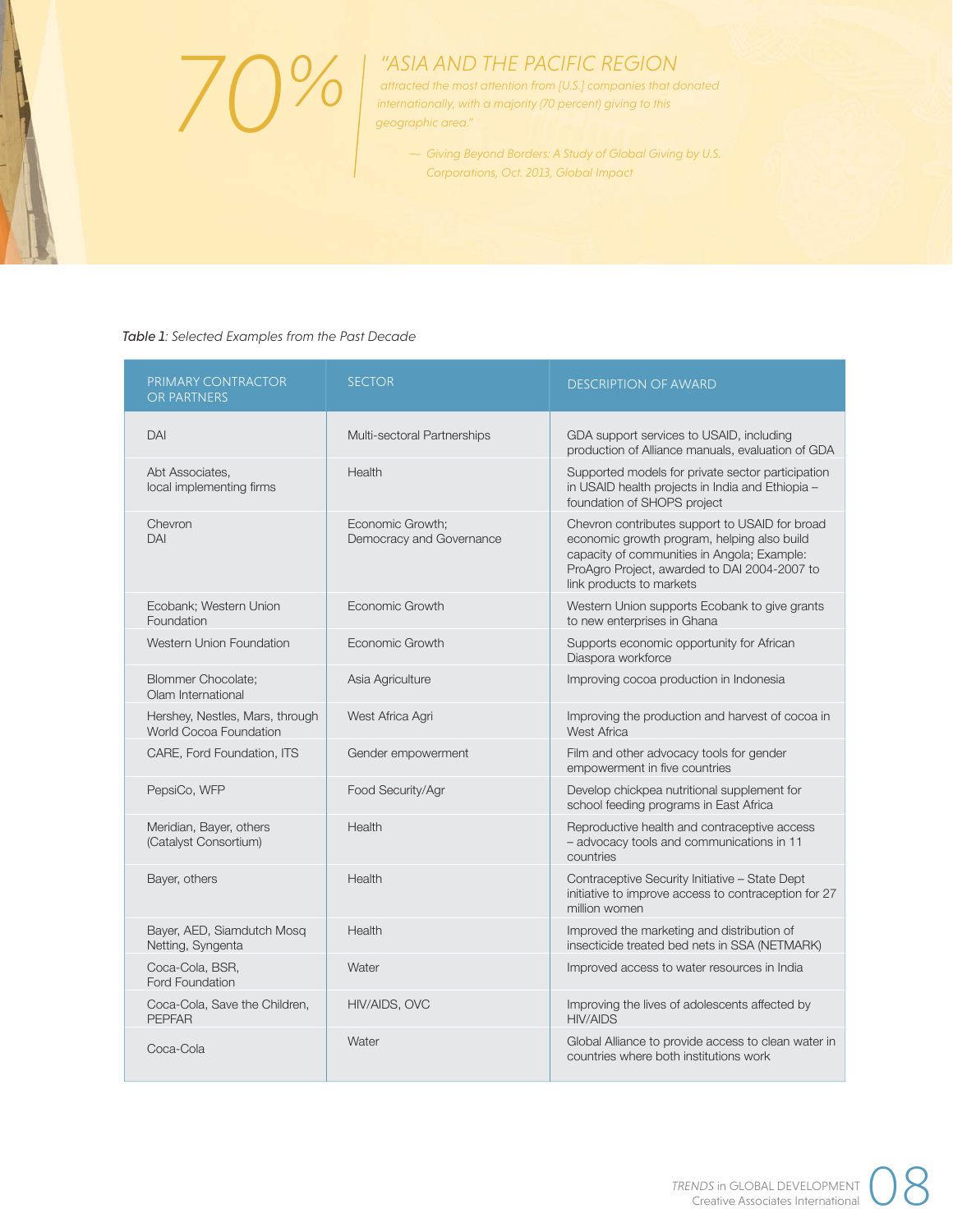*70%*

ł

# *"ASIA AND THE PACIFIC REGION*

*attracted the most attention from [U.S.] companies that donated internationally, with a majority (70 percent) giving to this geographic area."*

> *~ Giving Beyond Borders: A Study of Global Giving by U.S. Corporations, Oct. 2013, Global Impact*

### *Table 1: Selected Examples from the Past Decade*

| PRIMARY CONTRACTOR<br>OR PARTNERS                         | <b>SECTOR</b>                                | <b>DESCRIPTION OF AWARD</b>                                                                                                                                                                                              |
|-----------------------------------------------------------|----------------------------------------------|--------------------------------------------------------------------------------------------------------------------------------------------------------------------------------------------------------------------------|
| DAI                                                       | Multi-sectoral Partnerships                  | GDA support services to USAID, including<br>production of Alliance manuals, evaluation of GDA                                                                                                                            |
| Abt Associates.<br>local implementing firms               | <b>Health</b>                                | Supported models for private sector participation<br>in USAID health projects in India and Ethiopia -<br>foundation of SHOPS project                                                                                     |
| Chevron<br>DAI                                            | Economic Growth:<br>Democracy and Governance | Chevron contributes support to USAID for broad<br>economic growth program, helping also build<br>capacity of communities in Angola; Example:<br>ProAgro Project, awarded to DAI 2004-2007 to<br>link products to markets |
| Ecobank; Western Union<br>Foundation                      | Economic Growth                              | Western Union supports Ecobank to give grants<br>to new enterprises in Ghana                                                                                                                                             |
| Western Union Foundation                                  | Economic Growth                              | Supports economic opportunity for African<br>Diaspora workforce                                                                                                                                                          |
| <b>Blommer Chocolate:</b><br>Olam International           | Asia Agriculture                             | Improving cocoa production in Indonesia                                                                                                                                                                                  |
| Hershey, Nestles, Mars, through<br>World Cocoa Foundation | West Africa Agri                             | Improving the production and harvest of cocoa in<br><b>West Africa</b>                                                                                                                                                   |
| CARE, Ford Foundation, ITS                                | Gender empowerment                           | Film and other advocacy tools for gender<br>empowerment in five countries                                                                                                                                                |
| PepsiCo, WFP                                              | Food Security/Agr                            | Develop chickpea nutritional supplement for<br>school feeding programs in East Africa                                                                                                                                    |
| Meridian, Bayer, others<br>(Catalyst Consortium)          | Health                                       | Reproductive health and contraceptive access<br>- advocacy tools and communications in 11<br>countries                                                                                                                   |
| Bayer, others                                             | Health                                       | Contraceptive Security Initiative - State Dept<br>initiative to improve access to contraception for 27<br>million women                                                                                                  |
| Bayer, AED, Siamdutch Mosq<br>Netting, Syngenta           | Health                                       | Improved the marketing and distribution of<br>insecticide treated bed nets in SSA (NETMARK)                                                                                                                              |
| Coca-Cola, BSR,<br>Ford Foundation                        | Water                                        | Improved access to water resources in India                                                                                                                                                                              |
| Coca-Cola, Save the Children,<br><b>PEPFAR</b>            | HIV/AIDS, OVC                                | Improving the lives of adolescents affected by<br><b>HIV/AIDS</b>                                                                                                                                                        |
| Coca-Cola                                                 | Water                                        | Global Alliance to provide access to clean water in<br>countries where both institutions work                                                                                                                            |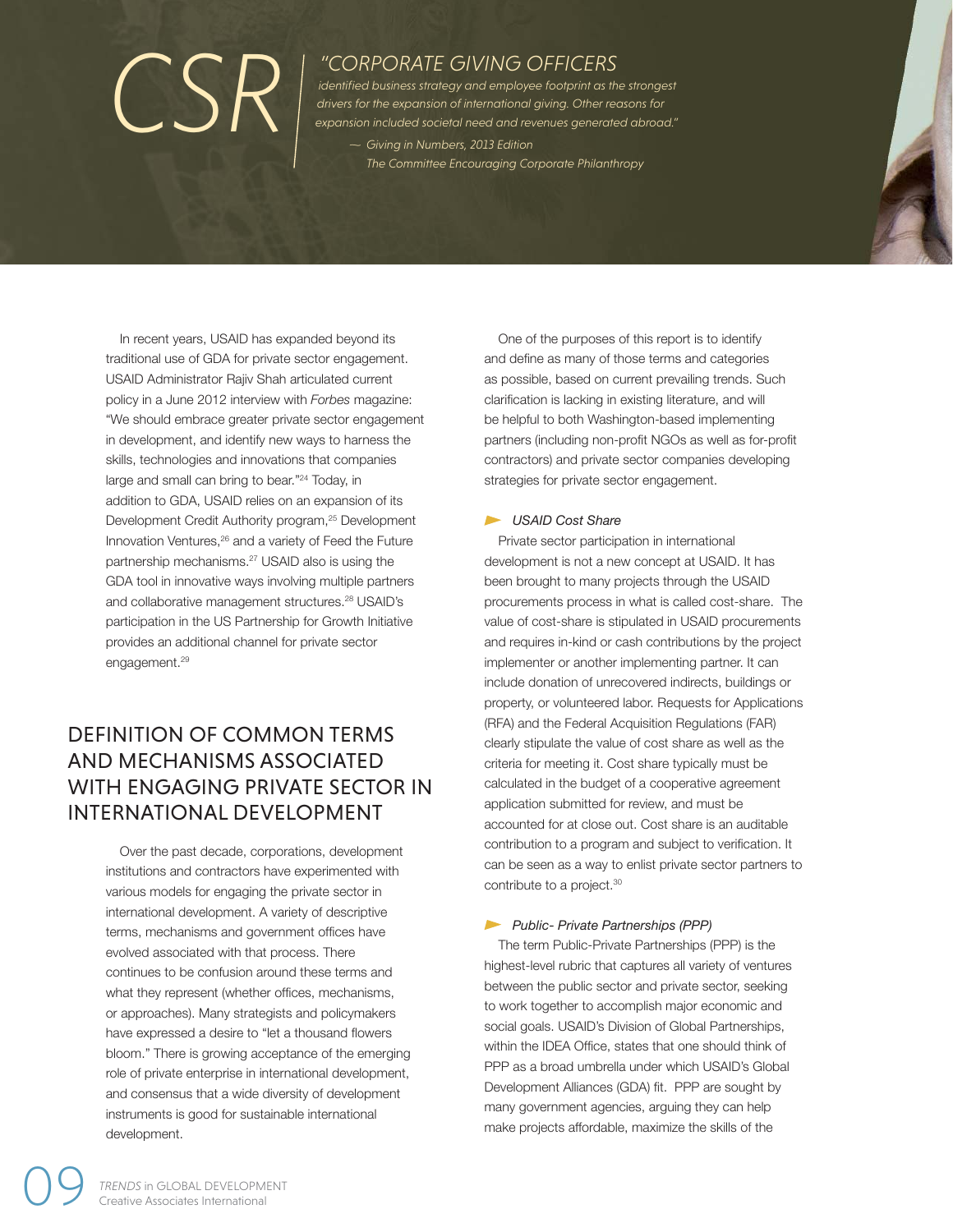# *"CORPORATE GIVING OFFICERS*

*Giving in Numbers, 2013 Edition ~ The Committee Encouraging Corporate Philanthropy identified business strategy and employee footprint as the strongest dentified business strategy and employee footprint as the strongest*<br>drivers for the expansion of international giving. Other reasons for<br>*expansion included societal need and revenues generated abroad."*<br>*Civing in Numbe* 

In recent years, USAID has expanded beyond its traditional use of GDA for private sector engagement. USAID Administrator Rajiv Shah articulated current policy in a June 2012 interview with *Forbes* magazine: "We should embrace greater private sector engagement in development, and identify new ways to harness the skills, technologies and innovations that companies large and small can bring to bear."24 Today, in addition to GDA, USAID relies on an expansion of its Development Credit Authority program,<sup>25</sup> Development Innovation Ventures,26 and a variety of Feed the Future partnership mechanisms.27 USAID also is using the GDA tool in innovative ways involving multiple partners and collaborative management structures.<sup>28</sup> USAID's participation in the US Partnership for Growth Initiative provides an additional channel for private sector engagement.<sup>29</sup>

# DEFINITION OF COMMON TERMS AND MECHANISMS ASSOCIATED WITH ENGAGING PRIVATE SECTOR IN INTERNATIONAL DEVELOPMENT

Over the past decade, corporations, development institutions and contractors have experimented with various models for engaging the private sector in international development. A variety of descriptive terms, mechanisms and government offices have evolved associated with that process. There continues to be confusion around these terms and what they represent (whether offices, mechanisms, or approaches). Many strategists and policymakers have expressed a desire to "let a thousand flowers bloom." There is growing acceptance of the emerging role of private enterprise in international development, and consensus that a wide diversity of development instruments is good for sustainable international development.

One of the purposes of this report is to identify and define as many of those terms and categories as possible, based on current prevailing trends. Such clarification is lacking in existing literature, and will be helpful to both Washington-based implementing partners (including non-profit NGOs as well as for-profit contractors) and private sector companies developing strategies for private sector engagement.

### *USAID Cost Share*

Private sector participation in international development is not a new concept at USAID. It has been brought to many projects through the USAID procurements process in what is called cost-share. The value of cost-share is stipulated in USAID procurements and requires in-kind or cash contributions by the project implementer or another implementing partner. It can include donation of unrecovered indirects, buildings or property, or volunteered labor. Requests for Applications (RFA) and the Federal Acquisition Regulations (FAR) clearly stipulate the value of cost share as well as the criteria for meeting it. Cost share typically must be calculated in the budget of a cooperative agreement application submitted for review, and must be accounted for at close out. Cost share is an auditable contribution to a program and subject to verification. It can be seen as a way to enlist private sector partners to contribute to a project.<sup>30</sup>

#### *Public- Private Partnerships (PPP)*

The term Public-Private Partnerships (PPP) is the highest-level rubric that captures all variety of ventures between the public sector and private sector, seeking to work together to accomplish major economic and social goals. USAID's Division of Global Partnerships, within the IDEA Office, states that one should think of PPP as a broad umbrella under which USAID's Global Development Alliances (GDA) fit. PPP are sought by many government agencies, arguing they can help make projects affordable, maximize the skills of the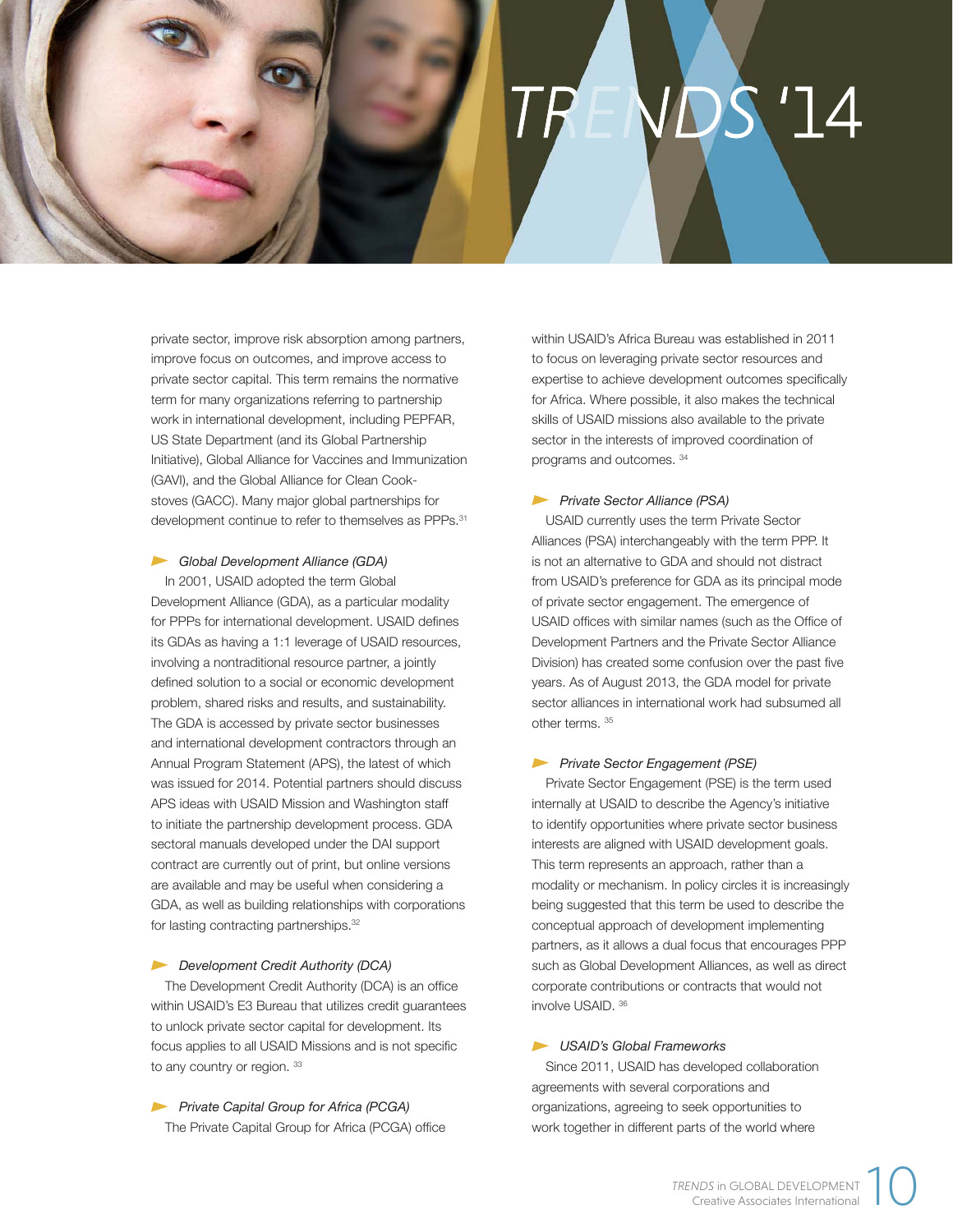

private sector, improve risk absorption among partners, improve focus on outcomes, and improve access to private sector capital. This term remains the normative term for many organizations referring to partnership work in international development, including PEPFAR, US State Department (and its Global Partnership Initiative), Global Alliance for Vaccines and Immunization (GAVI), and the Global Alliance for Clean Cookstoves (GACC). Many major global partnerships for development continue to refer to themselves as PPPs.<sup>31</sup>

#### *Global Development Alliance (GDA)*

In 2001, USAID adopted the term Global Development Alliance (GDA), as a particular modality for PPPs for international development. USAID defines its GDAs as having a 1:1 leverage of USAID resources, involving a nontraditional resource partner, a jointly defined solution to a social or economic development problem, shared risks and results, and sustainability. The GDA is accessed by private sector businesses and international development contractors through an Annual Program Statement (APS), the latest of which was issued for 2014. Potential partners should discuss APS ideas with USAID Mission and Washington staff to initiate the partnership development process. GDA sectoral manuals developed under the DAI support contract are currently out of print, but online versions are available and may be useful when considering a GDA, as well as building relationships with corporations for lasting contracting partnerships.<sup>32</sup>

#### *Development Credit Authority (DCA)*

The Development Credit Authority (DCA) is an office within USAID's E3 Bureau that utilizes credit guarantees to unlock private sector capital for development. Its focus applies to all USAID Missions and is not specific to any country or region. 33

*Private Capital Group for Africa (PCGA)* The Private Capital Group for Africa (PCGA) office within USAID's Africa Bureau was established in 2011 to focus on leveraging private sector resources and expertise to achieve development outcomes specifically for Africa. Where possible, it also makes the technical skills of USAID missions also available to the private sector in the interests of improved coordination of programs and outcomes. 34

#### *Private Sector Alliance (PSA)*

USAID currently uses the term Private Sector Alliances (PSA) interchangeably with the term PPP. It is not an alternative to GDA and should not distract from USAID's preference for GDA as its principal mode of private sector engagement. The emergence of USAID offices with similar names (such as the Office of Development Partners and the Private Sector Alliance Division) has created some confusion over the past five years. As of August 2013, the GDA model for private sector alliances in international work had subsumed all other terms. 35

#### *Private Sector Engagement (PSE)*

Private Sector Engagement (PSE) is the term used internally at USAID to describe the Agency's initiative to identify opportunities where private sector business interests are aligned with USAID development goals. This term represents an approach, rather than a modality or mechanism. In policy circles it is increasingly being suggested that this term be used to describe the conceptual approach of development implementing partners, as it allows a dual focus that encourages PPP such as Global Development Alliances, as well as direct corporate contributions or contracts that would not involve USAID. 36

#### *USAID's Global Frameworks*

Since 2011, USAID has developed collaboration agreements with several corporations and organizations, agreeing to seek opportunities to work together in different parts of the world where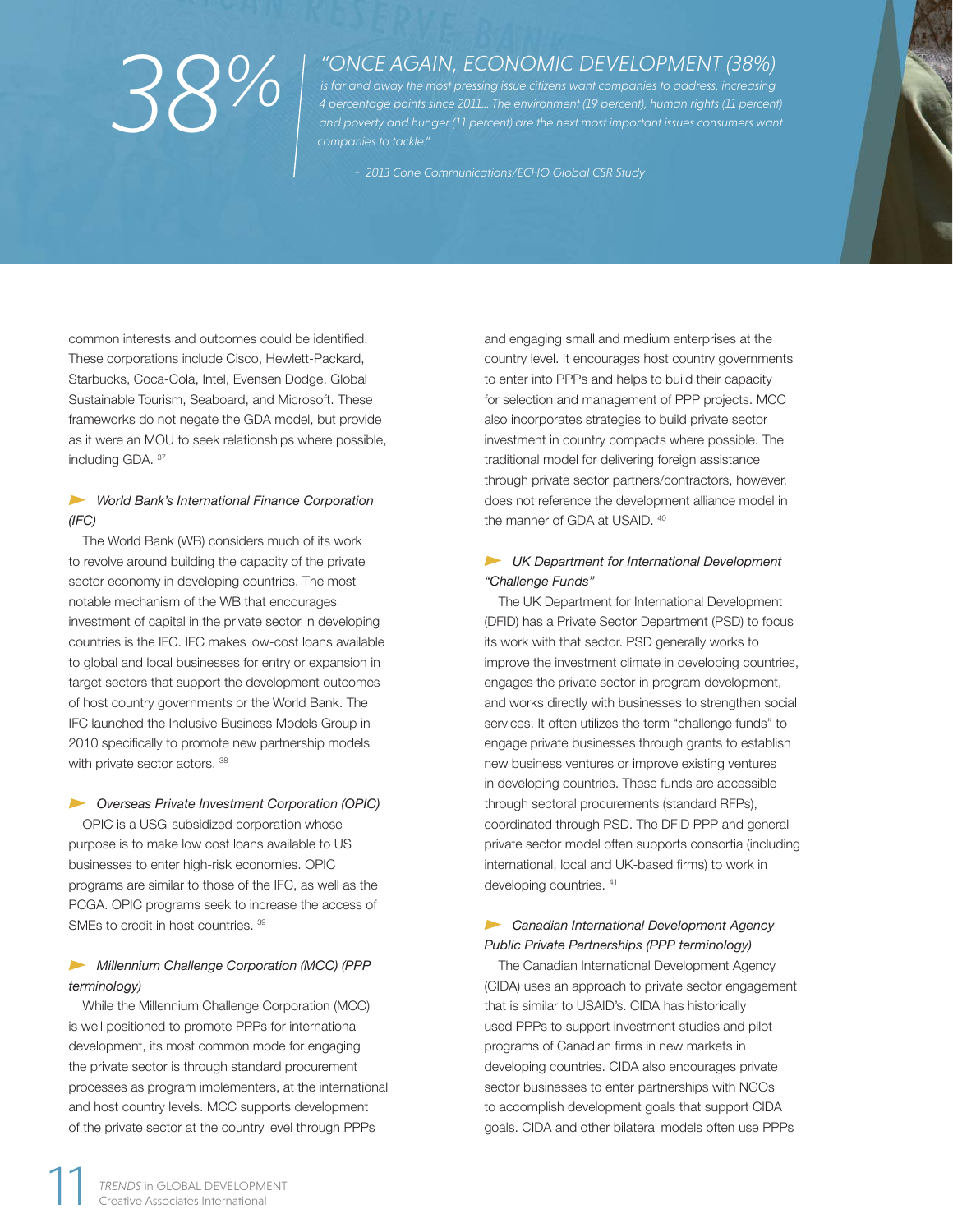# *38%*

# *"ONCE AGAIN, ECONOMIC DEVELOPMENT (38%)*

*is far and away the most pressing issue citizens want companies to address, increasing 4 percentage points since 2011… The environment (19 percent), human rights (11 percent)*  and poverty and hunger (11 percent) are the next most important issues consumers want *companies to tackle."*

*~ 2013 Cone Communications/ECHO Global CSR Study*

common interests and outcomes could be identified. These corporations include Cisco, Hewlett-Packard, Starbucks, Coca-Cola, Intel, Evensen Dodge, Global Sustainable Tourism, Seaboard, and Microsoft. These frameworks do not negate the GDA model, but provide as it were an MOU to seek relationships where possible, including GDA. 37

## *Morld Bank's International Finance Corporation (IFC)*

The World Bank (WB) considers much of its work to revolve around building the capacity of the private sector economy in developing countries. The most notable mechanism of the WB that encourages investment of capital in the private sector in developing countries is the IFC. IFC makes low-cost loans available to global and local businesses for entry or expansion in target sectors that support the development outcomes of host country governments or the World Bank. The IFC launched the Inclusive Business Models Group in 2010 specifically to promote new partnership models with private sector actors. 38

# *Overseas Private Investment Corporation (OPIC)*

OPIC is a USG-subsidized corporation whose purpose is to make low cost loans available to US businesses to enter high-risk economies. OPIC programs are similar to those of the IFC, as well as the PCGA. OPIC programs seek to increase the access of SMEs to credit in host countries. 39

## *Millennium Challenge Corporation (MCC) (PPP terminology)*

While the Millennium Challenge Corporation (MCC) is well positioned to promote PPPs for international development, its most common mode for engaging the private sector is through standard procurement processes as program implementers, at the international and host country levels. MCC supports development of the private sector at the country level through PPPs

and engaging small and medium enterprises at the country level. It encourages host country governments to enter into PPPs and helps to build their capacity for selection and management of PPP projects. MCC also incorporates strategies to build private sector investment in country compacts where possible. The traditional model for delivering foreign assistance through private sector partners/contractors, however, does not reference the development alliance model in the manner of GDA at USAID.  $40$ 

## *UK Department for International Development "Challenge Funds"*

The UK Department for International Development (DFID) has a Private Sector Department (PSD) to focus its work with that sector. PSD generally works to improve the investment climate in developing countries, engages the private sector in program development, and works directly with businesses to strengthen social services. It often utilizes the term "challenge funds" to engage private businesses through grants to establish new business ventures or improve existing ventures in developing countries. These funds are accessible through sectoral procurements (standard RFPs), coordinated through PSD. The DFID PPP and general private sector model often supports consortia (including international, local and UK-based firms) to work in developing countries.  $41$ 

## *Canadian International Development Agency Public Private Partnerships (PPP terminology)*

The Canadian International Development Agency (CIDA) uses an approach to private sector engagement that is similar to USAID's. CIDA has historically used PPPs to support investment studies and pilot programs of Canadian firms in new markets in developing countries. CIDA also encourages private sector businesses to enter partnerships with NGOs to accomplish development goals that support CIDA goals. CIDA and other bilateral models often use PPPs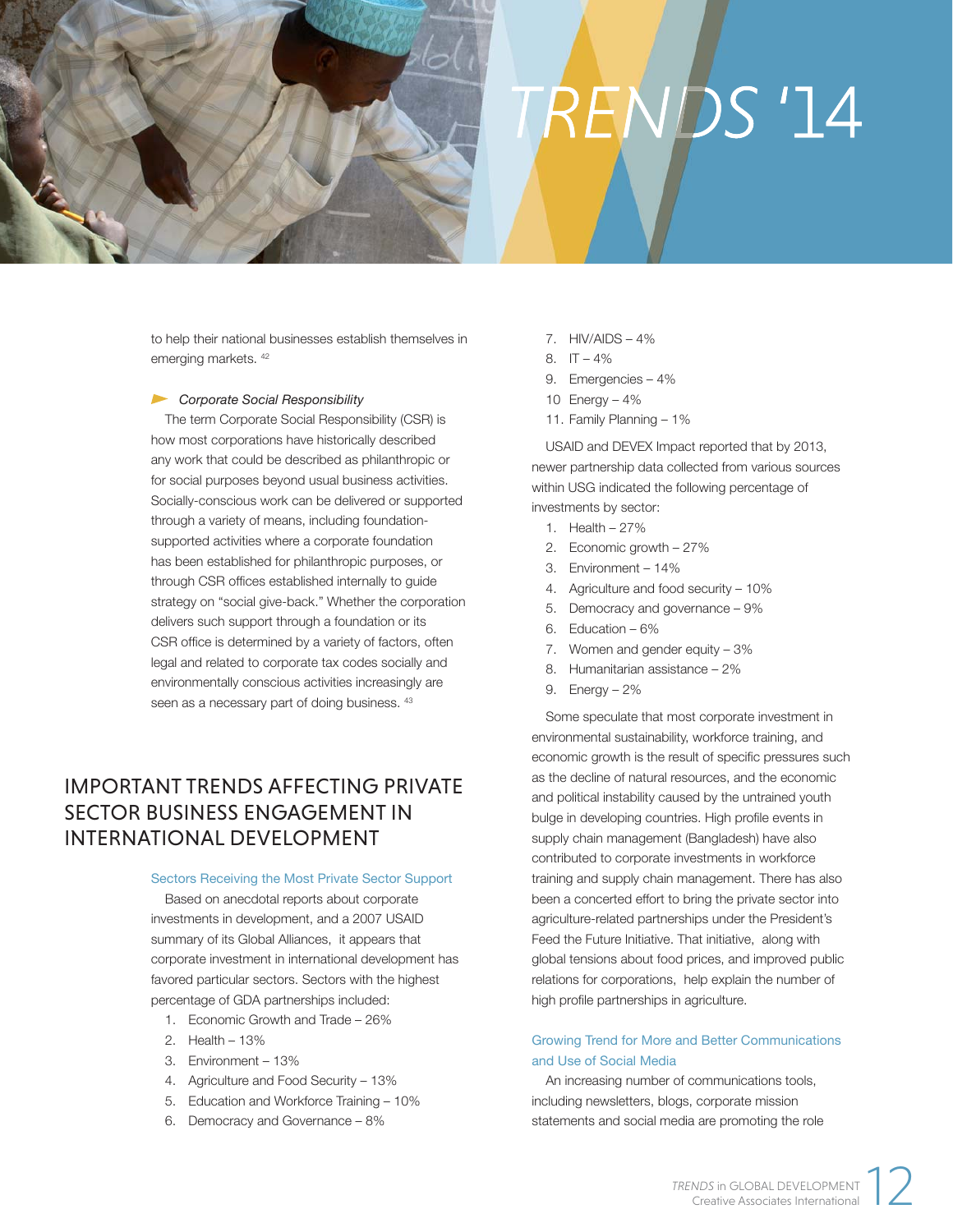# **TRENDS '14**

to help their national businesses establish themselves in emerging markets. 42

#### *Corporate Social Responsibility*

The term Corporate Social Responsibility (CSR) is how most corporations have historically described any work that could be described as philanthropic or for social purposes beyond usual business activities. Socially-conscious work can be delivered or supported through a variety of means, including foundationsupported activities where a corporate foundation has been established for philanthropic purposes, or through CSR offices established internally to guide strategy on "social give-back." Whether the corporation delivers such support through a foundation or its CSR office is determined by a variety of factors, often legal and related to corporate tax codes socially and environmentally conscious activities increasingly are seen as a necessary part of doing business.  $43$ 

# IMPORTANT TRENDS AFFECTING PRIVATE SECTOR BUSINESS ENGAGEMENT IN INTERNATIONAL DEVELOPMENT

#### Sectors Receiving the Most Private Sector Support

Based on anecdotal reports about corporate investments in development, and a 2007 USAID summary of its Global Alliances, it appears that corporate investment in international development has favored particular sectors. Sectors with the highest percentage of GDA partnerships included:

- 1. Economic Growth and Trade 26%
- 2. Health 13%
- 3. Environment 13%
- 4. Agriculture and Food Security 13%
- 5. Education and Workforce Training 10%
- 6. Democracy and Governance 8%
- 7. HIV/AIDS 4%
- 8.  $IT 4\%$
- 9. Emergencies 4%
- 10 Energy 4%
- 11. Family Planning 1%

USAID and DEVEX Impact reported that by 2013, newer partnership data collected from various sources within USG indicated the following percentage of investments by sector:

- 1. Health 27%
- 2. Economic growth 27%
- 3. Environment 14%
- 4. Agriculture and food security 10%
- 5. Democracy and governance 9%
- 6. Education 6%
- 7. Women and gender equity 3%
- 8. Humanitarian assistance 2%
- 9. Energy 2%

Some speculate that most corporate investment in environmental sustainability, workforce training, and economic growth is the result of specific pressures such as the decline of natural resources, and the economic and political instability caused by the untrained youth bulge in developing countries. High profile events in supply chain management (Bangladesh) have also contributed to corporate investments in workforce training and supply chain management. There has also been a concerted effort to bring the private sector into agriculture-related partnerships under the President's Feed the Future Initiative. That initiative, along with global tensions about food prices, and improved public relations for corporations, help explain the number of high profile partnerships in agriculture.

### Growing Trend for More and Better Communications and Use of Social Media

An increasing number of communications tools, including newsletters, blogs, corporate mission statements and social media are promoting the role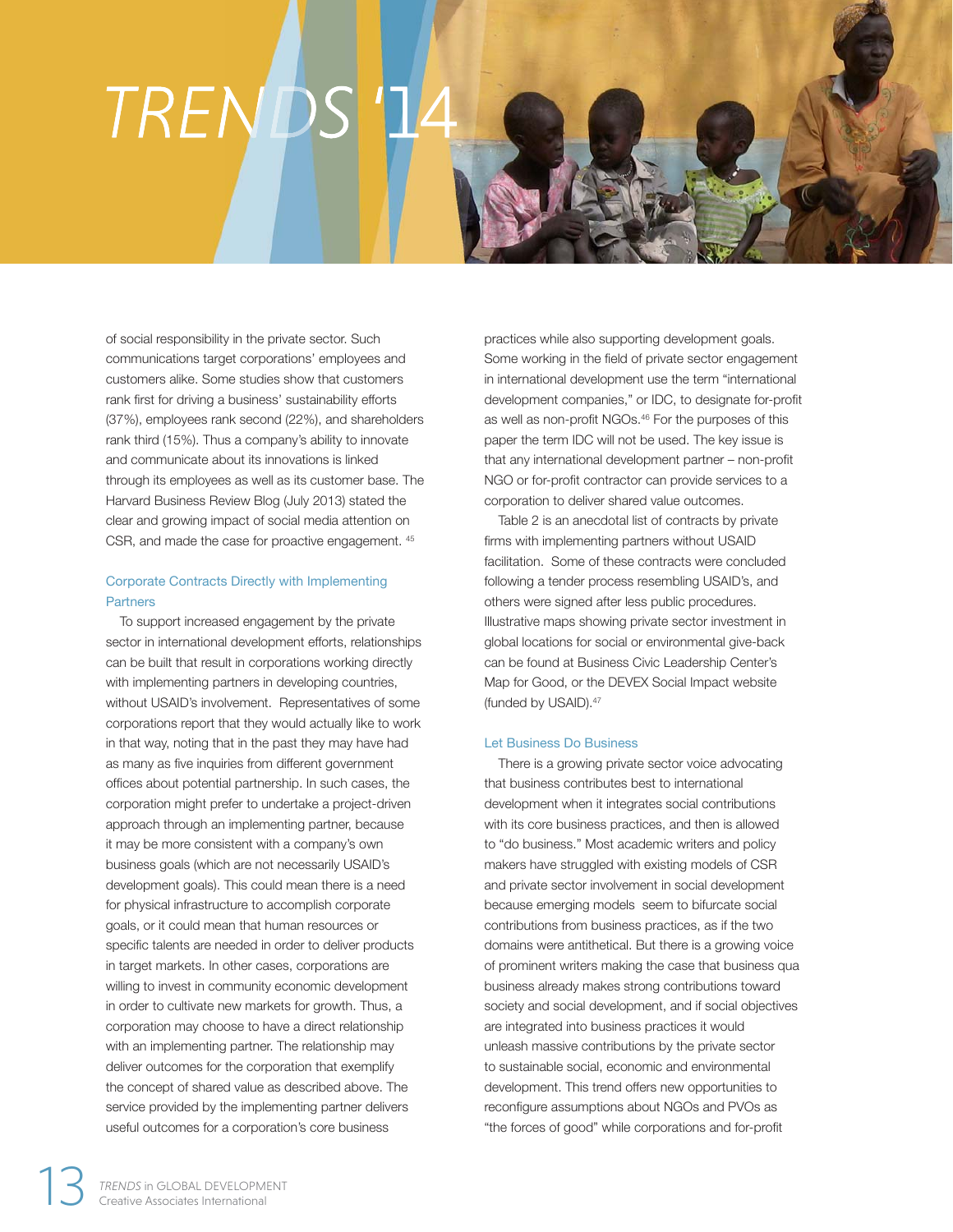# TREN

of social responsibility in the private sector. Such communications target corporations' employees and customers alike. Some studies show that customers rank first for driving a business' sustainability efforts (37%), employees rank second (22%), and shareholders rank third (15%). Thus a company's ability to innovate and communicate about its innovations is linked through its employees as well as its customer base. The Harvard Business Review Blog (July 2013) stated the clear and growing impact of social media attention on CSR, and made the case for proactive engagement. 45

## Corporate Contracts Directly with Implementing **Partners**

To support increased engagement by the private sector in international development efforts, relationships can be built that result in corporations working directly with implementing partners in developing countries, without USAID's involvement. Representatives of some corporations report that they would actually like to work in that way, noting that in the past they may have had as many as five inquiries from different government offices about potential partnership. In such cases, the corporation might prefer to undertake a project-driven approach through an implementing partner, because it may be more consistent with a company's own business goals (which are not necessarily USAID's development goals). This could mean there is a need for physical infrastructure to accomplish corporate goals, or it could mean that human resources or specific talents are needed in order to deliver products in target markets. In other cases, corporations are willing to invest in community economic development in order to cultivate new markets for growth. Thus, a corporation may choose to have a direct relationship with an implementing partner. The relationship may deliver outcomes for the corporation that exemplify the concept of shared value as described above. The service provided by the implementing partner delivers useful outcomes for a corporation's core business

practices while also supporting development goals. Some working in the field of private sector engagement in international development use the term "international development companies," or IDC, to designate for-profit as well as non-profit NGOs.<sup>46</sup> For the purposes of this paper the term IDC will not be used. The key issue is that any international development partner – non-profit NGO or for-profit contractor can provide services to a corporation to deliver shared value outcomes.

Table 2 is an anecdotal list of contracts by private firms with implementing partners without USAID facilitation. Some of these contracts were concluded following a tender process resembling USAID's, and others were signed after less public procedures. Illustrative maps showing private sector investment in global locations for social or environmental give-back can be found at Business Civic Leadership Center's Map for Good, or the DEVEX Social Impact website (funded by USAID).47

#### Let Business Do Business

There is a growing private sector voice advocating that business contributes best to international development when it integrates social contributions with its core business practices, and then is allowed to "do business." Most academic writers and policy makers have struggled with existing models of CSR and private sector involvement in social development because emerging models seem to bifurcate social contributions from business practices, as if the two domains were antithetical. But there is a growing voice of prominent writers making the case that business qua business already makes strong contributions toward society and social development, and if social objectives are integrated into business practices it would unleash massive contributions by the private sector to sustainable social, economic and environmental development. This trend offers new opportunities to reconfigure assumptions about NGOs and PVOs as "the forces of good" while corporations and for-profit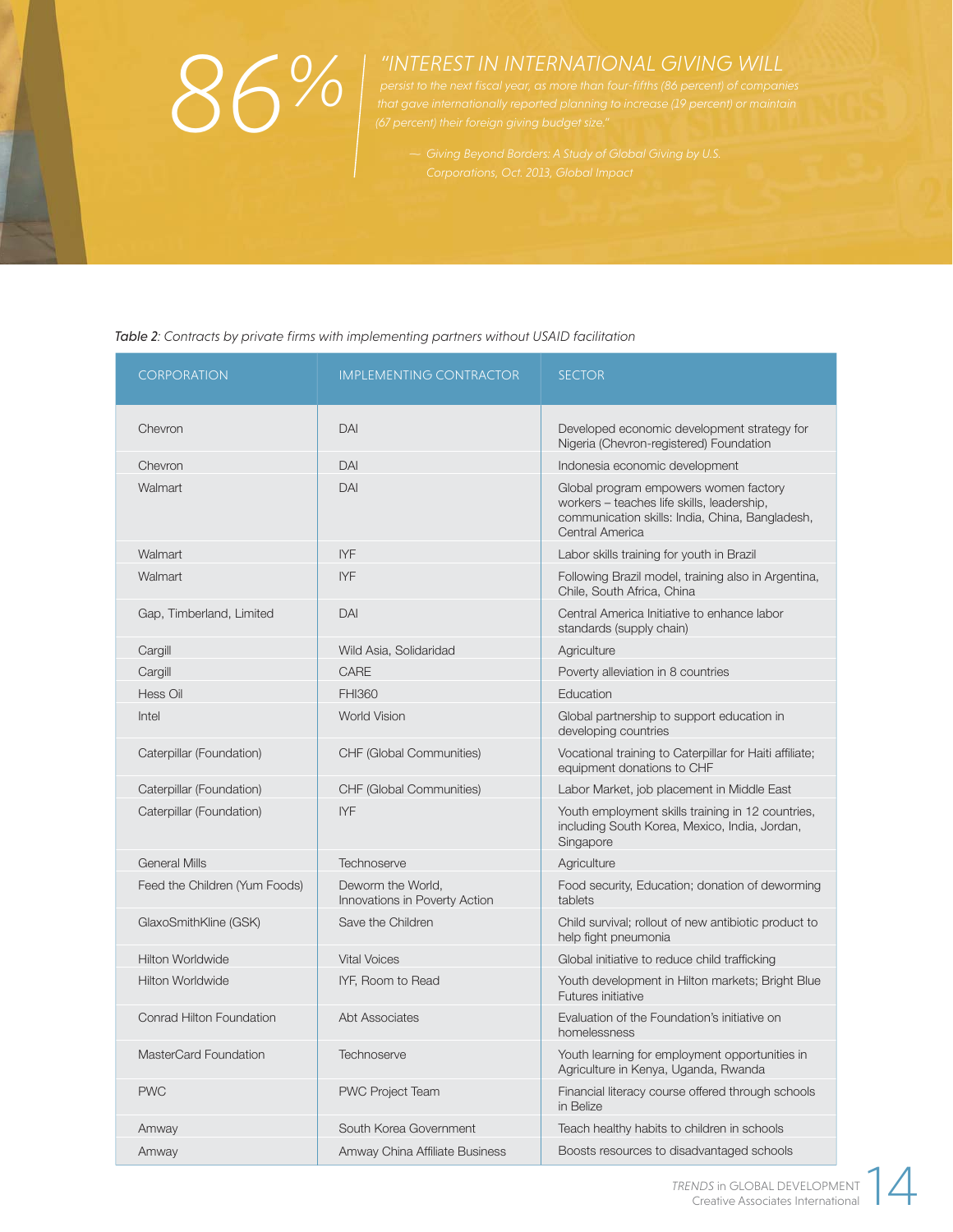# *Giving Beyond Borders: A Study of Global Giving by U.S.*<br>*86 percent)*<br>*86 percent)*<br>*86 percent)*<br>*867 percent)* their foreign giving budget size."<br>*- Giving Beyond Borders: A Study of Global Giving by U.S.*

# *"INTEREST IN INTERNATIONAL GIVING WILL*

Table 2: Contracts by private firms with implementing partners without USAID facilitation

| <b>CORPORATION</b>            | <b>IMPLEMENTING CONTRACTOR</b>                     | <b>SECTOR</b>                                                                                                                                             |
|-------------------------------|----------------------------------------------------|-----------------------------------------------------------------------------------------------------------------------------------------------------------|
| Chevron                       | DAI                                                | Developed economic development strategy for<br>Nigeria (Chevron-registered) Foundation                                                                    |
| Chevron                       | DAI                                                | Indonesia economic development                                                                                                                            |
| Walmart                       | DAI                                                | Global program empowers women factory<br>workers - teaches life skills, leadership,<br>communication skills: India, China, Bangladesh,<br>Central America |
| Walmart                       | <b>IYF</b>                                         | Labor skills training for youth in Brazil                                                                                                                 |
| Walmart                       | <b>IYF</b>                                         | Following Brazil model, training also in Argentina,<br>Chile, South Africa, China                                                                         |
| Gap, Timberland, Limited      | DAI                                                | Central America Initiative to enhance labor<br>standards (supply chain)                                                                                   |
| Cargill                       | Wild Asia, Solidaridad                             | Agriculture                                                                                                                                               |
| Cargill                       | CARE                                               | Poverty alleviation in 8 countries                                                                                                                        |
| Hess Oil                      | <b>FHI360</b>                                      | Education                                                                                                                                                 |
| Intel                         | <b>World Vision</b>                                | Global partnership to support education in<br>developing countries                                                                                        |
| Caterpillar (Foundation)      | CHF (Global Communities)                           | Vocational training to Caterpillar for Haiti affiliate;<br>equipment donations to CHF                                                                     |
| Caterpillar (Foundation)      | CHF (Global Communities)                           | Labor Market, job placement in Middle East                                                                                                                |
| Caterpillar (Foundation)      | <b>IYF</b>                                         | Youth employment skills training in 12 countries,<br>including South Korea, Mexico, India, Jordan,<br>Singapore                                           |
| <b>General Mills</b>          | Technoserve                                        | Agriculture                                                                                                                                               |
| Feed the Children (Yum Foods) | Deworm the World,<br>Innovations in Poverty Action | Food security, Education; donation of deworming<br>tablets                                                                                                |
| GlaxoSmithKline (GSK)         | Save the Children                                  | Child survival; rollout of new antibiotic product to<br>help fight pneumonia                                                                              |
| <b>Hilton Worldwide</b>       | <b>Vital Voices</b>                                | Global initiative to reduce child trafficking                                                                                                             |
| <b>Hilton Worldwide</b>       | IYF, Room to Read                                  | Youth development in Hilton markets; Bright Blue<br>Futures initiative                                                                                    |
| Conrad Hilton Foundation      | Abt Associates                                     | Evaluation of the Foundation's initiative on<br>homelessness                                                                                              |
| MasterCard Foundation         | Technoserve                                        | Youth learning for employment opportunities in<br>Agriculture in Kenya, Uganda, Rwanda                                                                    |
| <b>PWC</b>                    | <b>PWC Project Team</b>                            | Financial literacy course offered through schools<br>in Belize                                                                                            |
| Amway                         | South Korea Government                             | Teach healthy habits to children in schools                                                                                                               |
| Amway                         | Amway China Affiliate Business                     | Boosts resources to disadvantaged schools                                                                                                                 |

*TRENDS* in GLOBAL DEVELOPMENT NDS in GLOBAL DEVELOPMENT<br>Creative Associates International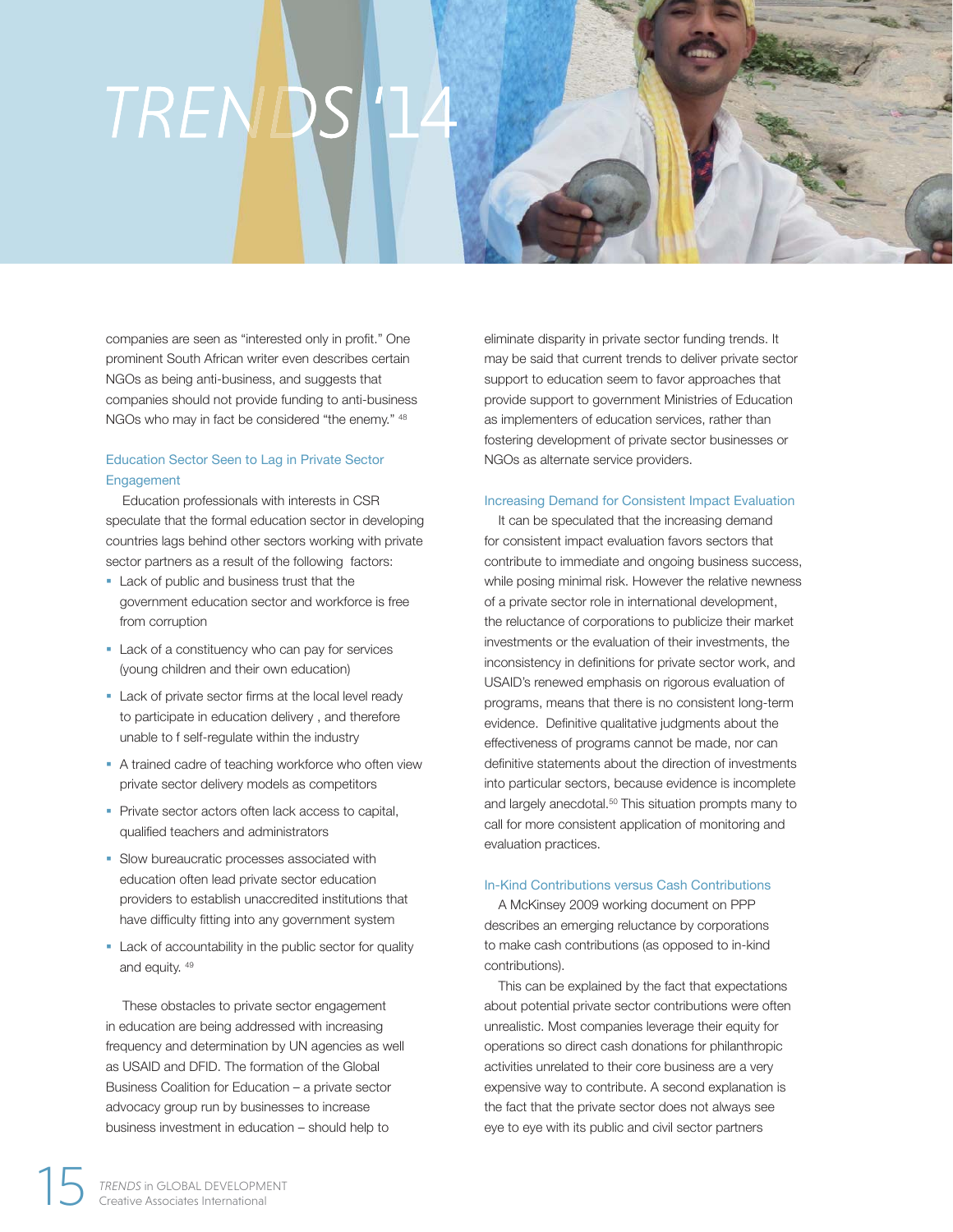# TRENDS

companies are seen as "interested only in profit." One prominent South African writer even describes certain NGOs as being anti-business, and suggests that companies should not provide funding to anti-business NGOs who may in fact be considered "the enemy." 48

## Education Sector Seen to Lag in Private Sector Engagement

 Education professionals with interests in CSR speculate that the formal education sector in developing countries lags behind other sectors working with private sector partners as a result of the following factors:

- Lack of public and business trust that the government education sector and workforce is free from corruption
- Lack of a constituency who can pay for services (young children and their own education)
- Lack of private sector firms at the local level ready to participate in education delivery , and therefore unable to f self-regulate within the industry
- A trained cadre of teaching workforce who often view private sector delivery models as competitors
- § Private sector actors often lack access to capital, qualified teachers and administrators
- § Slow bureaucratic processes associated with education often lead private sector education providers to establish unaccredited institutions that have difficulty fitting into any government system
- Lack of accountability in the public sector for quality and equity. 49

 These obstacles to private sector engagement in education are being addressed with increasing frequency and determination by UN agencies as well as USAID and DFID. The formation of the Global Business Coalition for Education – a private sector advocacy group run by businesses to increase business investment in education – should help to

eliminate disparity in private sector funding trends. It may be said that current trends to deliver private sector support to education seem to favor approaches that provide support to government Ministries of Education as implementers of education services, rather than fostering development of private sector businesses or NGOs as alternate service providers.

#### Increasing Demand for Consistent Impact Evaluation

It can be speculated that the increasing demand for consistent impact evaluation favors sectors that contribute to immediate and ongoing business success, while posing minimal risk. However the relative newness of a private sector role in international development, the reluctance of corporations to publicize their market investments or the evaluation of their investments, the inconsistency in definitions for private sector work, and USAID's renewed emphasis on rigorous evaluation of programs, means that there is no consistent long-term evidence. Definitive qualitative judgments about the effectiveness of programs cannot be made, nor can definitive statements about the direction of investments into particular sectors, because evidence is incomplete and largely anecdotal.<sup>50</sup> This situation prompts many to call for more consistent application of monitoring and evaluation practices.

#### In-Kind Contributions versus Cash Contributions

A McKinsey 2009 working document on PPP describes an emerging reluctance by corporations to make cash contributions (as opposed to in-kind contributions).

This can be explained by the fact that expectations about potential private sector contributions were often unrealistic. Most companies leverage their equity for operations so direct cash donations for philanthropic activities unrelated to their core business are a very expensive way to contribute. A second explanation is the fact that the private sector does not always see eye to eye with its public and civil sector partners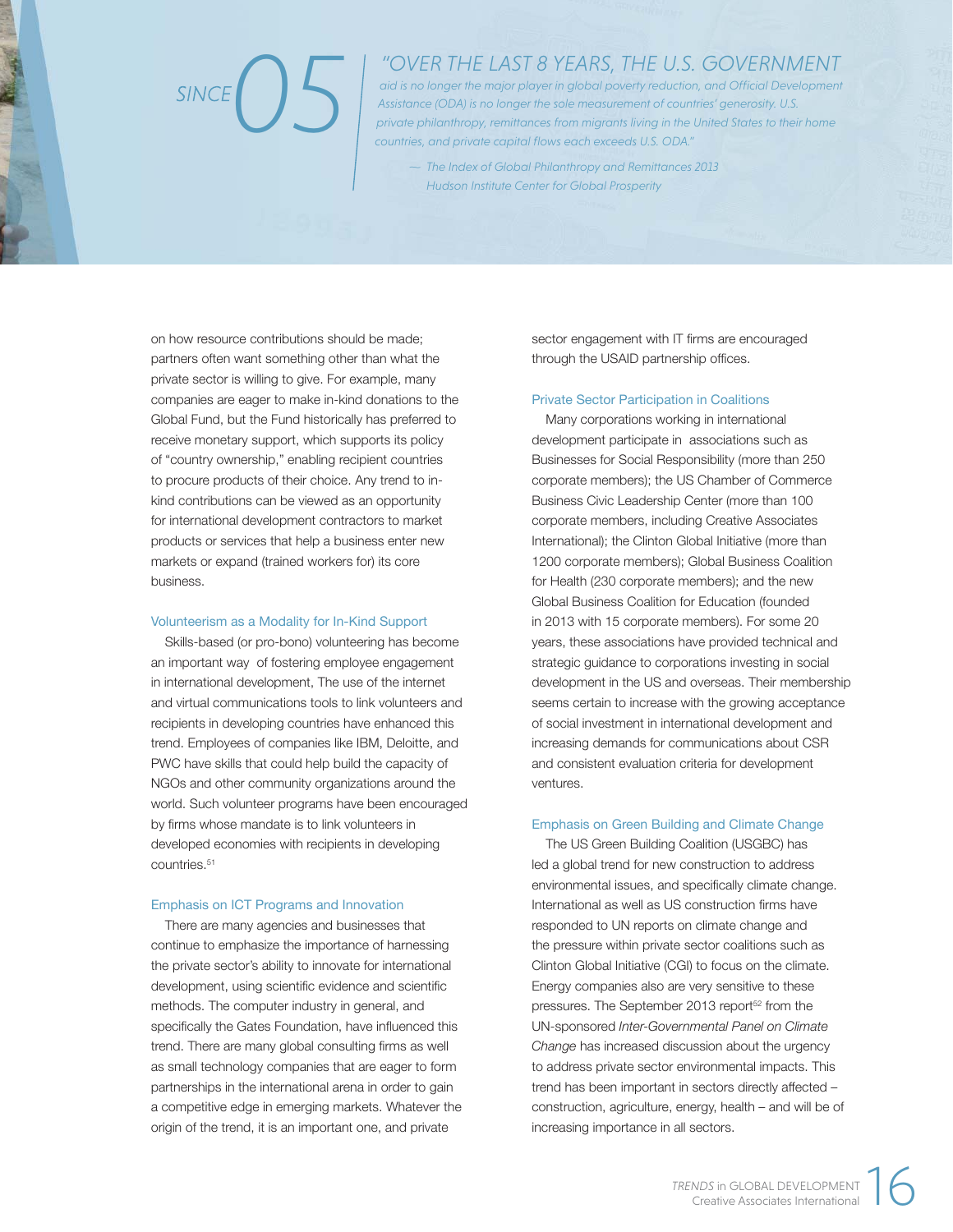# *05*

## *"OVER THE LAST 8 YEARS, THE U.S. GOVERNMENT*

aid is no longer the major player in global poverty reduction, and Official Development *Assistance (ODA) is no longer the sole measurement of countries' generosity. U.S. private philanthropy, remittances from migrants living in the United States to their home countries, and private capital flows each exceeds U.S. ODA."* 

*The Index of Global Philanthropy and Remittances 2013 ~ Hudson Institute Center for Global Prosperity*

on how resource contributions should be made; partners often want something other than what the private sector is willing to give. For example, many companies are eager to make in-kind donations to the Global Fund, but the Fund historically has preferred to receive monetary support, which supports its policy of "country ownership," enabling recipient countries to procure products of their choice. Any trend to inkind contributions can be viewed as an opportunity for international development contractors to market products or services that help a business enter new markets or expand (trained workers for) its core business.

#### Volunteerism as a Modality for In-Kind Support

Skills-based (or pro-bono) volunteering has become an important way of fostering employee engagement in international development, The use of the internet and virtual communications tools to link volunteers and recipients in developing countries have enhanced this trend. Employees of companies like IBM, Deloitte, and PWC have skills that could help build the capacity of NGOs and other community organizations around the world. Such volunteer programs have been encouraged by firms whose mandate is to link volunteers in developed economies with recipients in developing countries.51

#### Emphasis on ICT Programs and Innovation

There are many agencies and businesses that continue to emphasize the importance of harnessing the private sector's ability to innovate for international development, using scientific evidence and scientific methods. The computer industry in general, and specifically the Gates Foundation, have influenced this trend. There are many global consulting firms as well as small technology companies that are eager to form partnerships in the international arena in order to gain a competitive edge in emerging markets. Whatever the origin of the trend, it is an important one, and private

sector engagement with IT firms are encouraged through the USAID partnership offices.

#### Private Sector Participation in Coalitions

Many corporations working in international development participate in associations such as Businesses for Social Responsibility (more than 250 corporate members); the US Chamber of Commerce Business Civic Leadership Center (more than 100 corporate members, including Creative Associates International); the Clinton Global Initiative (more than 1200 corporate members); Global Business Coalition for Health (230 corporate members); and the new Global Business Coalition for Education (founded in 2013 with 15 corporate members). For some 20 years, these associations have provided technical and strategic guidance to corporations investing in social development in the US and overseas. Their membership seems certain to increase with the growing acceptance of social investment in international development and increasing demands for communications about CSR and consistent evaluation criteria for development ventures.

#### Emphasis on Green Building and Climate Change

The US Green Building Coalition (USGBC) has led a global trend for new construction to address environmental issues, and specifically climate change. International as well as US construction firms have responded to UN reports on climate change and the pressure within private sector coalitions such as Clinton Global Initiative (CGI) to focus on the climate. Energy companies also are very sensitive to these pressures. The September 2013 report<sup>52</sup> from the UN-sponsored *Inter-Governmental Panel on Climate Change* has increased discussion about the urgency to address private sector environmental impacts. This trend has been important in sectors directly affected – construction, agriculture, energy, health – and will be of increasing importance in all sectors.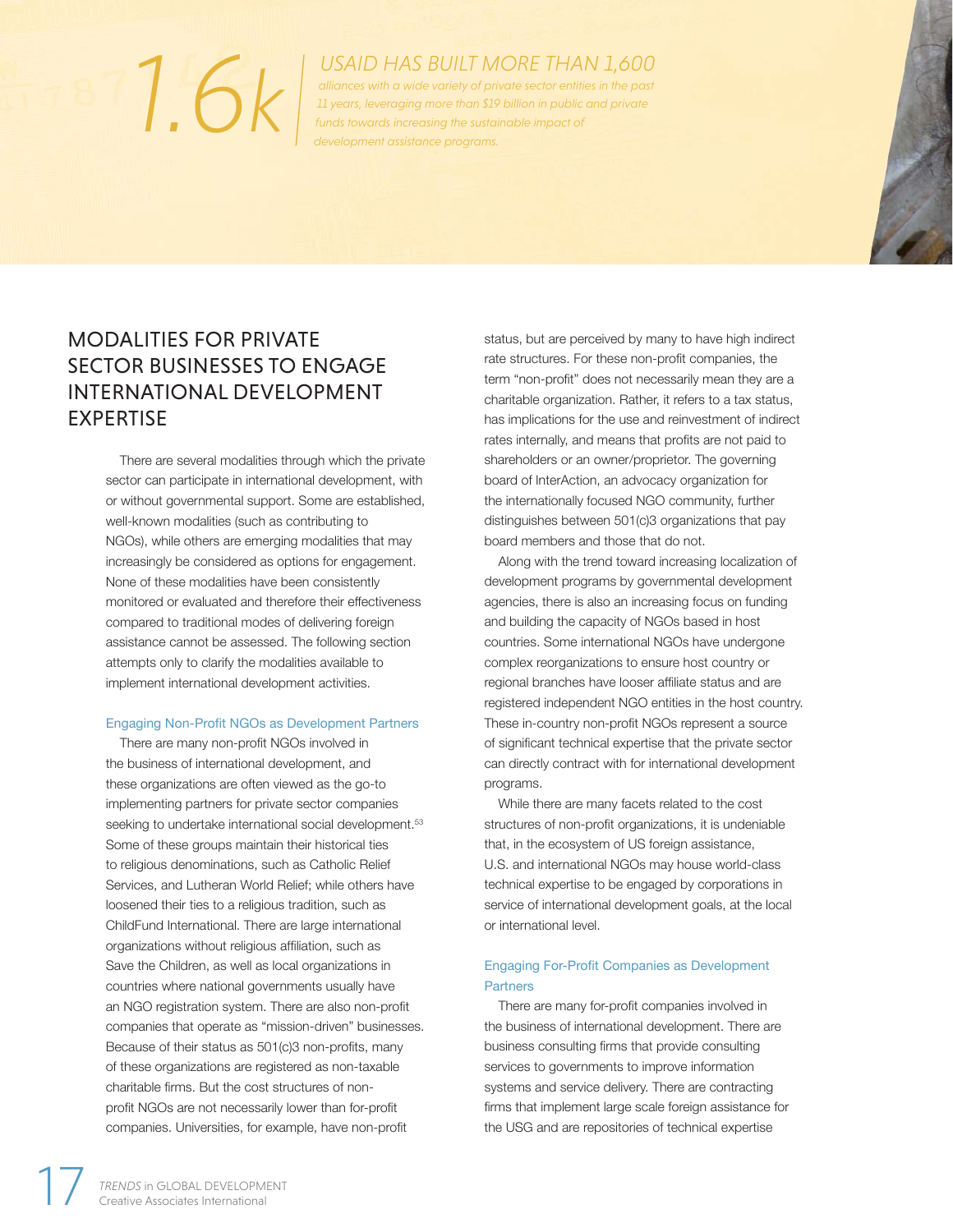# *funds towards increasing the sustainable impact of*<br>*funds towards increasing the sustainable impact of*<br>*development assistance programs.*

*USAID HAS BUILT MORE THAN 1,600*

*alliances with a wide variety of private sector entities in the past 11 years, leveraging more than \$19 billion in public and private development assistance programs.* 

# MODALITIES FOR PRIVATE SECTOR BUSINESSES TO ENGAGE INTERNATIONAL DEVELOPMENT EXPERTISE

There are several modalities through which the private sector can participate in international development, with or without governmental support. Some are established, well-known modalities (such as contributing to NGOs), while others are emerging modalities that may increasingly be considered as options for engagement. None of these modalities have been consistently monitored or evaluated and therefore their effectiveness compared to traditional modes of delivering foreign assistance cannot be assessed. The following section attempts only to clarify the modalities available to implement international development activities.

### Engaging Non-Profit NGOs as Development Partners

There are many non-profit NGOs involved in the business of international development, and these organizations are often viewed as the go-to implementing partners for private sector companies seeking to undertake international social development.<sup>53</sup> Some of these groups maintain their historical ties to religious denominations, such as Catholic Relief Services, and Lutheran World Relief; while others have loosened their ties to a religious tradition, such as ChildFund International. There are large international organizations without religious affiliation, such as Save the Children, as well as local organizations in countries where national governments usually have an NGO registration system. There are also non-profit companies that operate as "mission-driven" businesses. Because of their status as 501(c)3 non-profits, many of these organizations are registered as non-taxable charitable firms. But the cost structures of nonprofit NGOs are not necessarily lower than for-profit companies. Universities, for example, have non-profit

status, but are perceived by many to have high indirect rate structures. For these non-profit companies, the term "non-profit" does not necessarily mean they are a charitable organization. Rather, it refers to a tax status, has implications for the use and reinvestment of indirect rates internally, and means that profits are not paid to shareholders or an owner/proprietor. The governing board of InterAction, an advocacy organization for the internationally focused NGO community, further distinguishes between 501(c)3 organizations that pay board members and those that do not.

Along with the trend toward increasing localization of development programs by governmental development agencies, there is also an increasing focus on funding and building the capacity of NGOs based in host countries. Some international NGOs have undergone complex reorganizations to ensure host country or regional branches have looser affiliate status and are registered independent NGO entities in the host country. These in-country non-profit NGOs represent a source of significant technical expertise that the private sector can directly contract with for international development programs.

While there are many facets related to the cost structures of non-profit organizations, it is undeniable that, in the ecosystem of US foreign assistance, U.S. and international NGOs may house world-class technical expertise to be engaged by corporations in service of international development goals, at the local or international level.

## Engaging For-Profit Companies as Development **Partners**

There are many for-profit companies involved in the business of international development. There are business consulting firms that provide consulting services to governments to improve information systems and service delivery. There are contracting firms that implement large scale foreign assistance for the USG and are repositories of technical expertise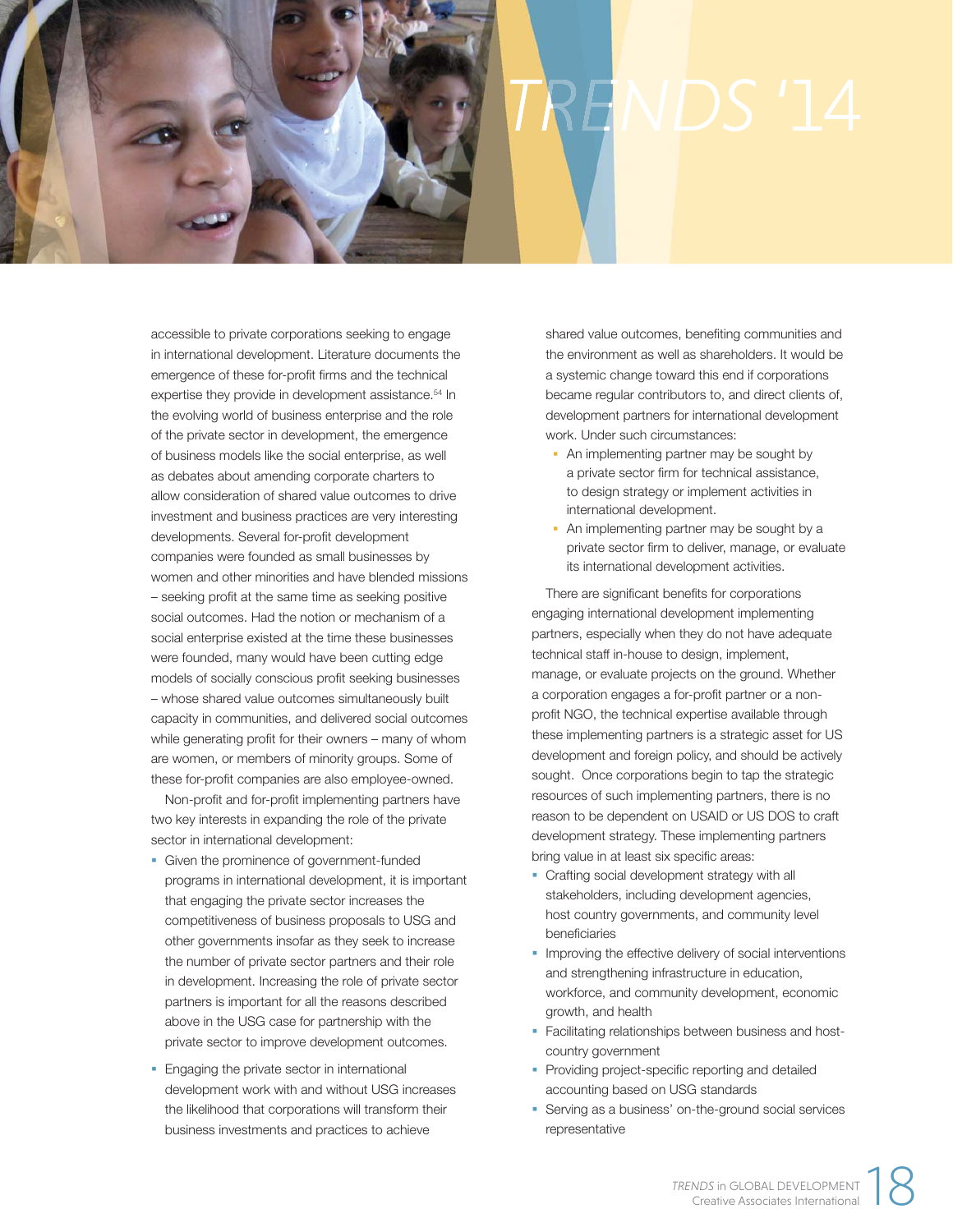

accessible to private corporations seeking to engage in international development. Literature documents the emergence of these for-profit firms and the technical expertise they provide in development assistance.<sup>54</sup> In the evolving world of business enterprise and the role of the private sector in development, the emergence of business models like the social enterprise, as well as debates about amending corporate charters to allow consideration of shared value outcomes to drive investment and business practices are very interesting developments. Several for-profit development companies were founded as small businesses by women and other minorities and have blended missions – seeking profit at the same time as seeking positive social outcomes. Had the notion or mechanism of a social enterprise existed at the time these businesses were founded, many would have been cutting edge models of socially conscious profit seeking businesses – whose shared value outcomes simultaneously built capacity in communities, and delivered social outcomes while generating profit for their owners – many of whom are women, or members of minority groups. Some of these for-profit companies are also employee-owned.

Non-profit and for-profit implementing partners have two key interests in expanding the role of the private sector in international development:

- Given the prominence of government-funded programs in international development, it is important that engaging the private sector increases the competitiveness of business proposals to USG and other governments insofar as they seek to increase the number of private sector partners and their role in development. Increasing the role of private sector partners is important for all the reasons described above in the USG case for partnership with the private sector to improve development outcomes.
- § Engaging the private sector in international development work with and without USG increases the likelihood that corporations will transform their business investments and practices to achieve

shared value outcomes, benefiting communities and the environment as well as shareholders. It would be a systemic change toward this end if corporations became regular contributors to, and direct clients of, development partners for international development work. Under such circumstances:

- An implementing partner may be sought by a private sector firm for technical assistance, to design strategy or implement activities in international development.
- An implementing partner may be sought by a private sector firm to deliver, manage, or evaluate its international development activities.

There are significant benefits for corporations engaging international development implementing partners, especially when they do not have adequate technical staff in-house to design, implement, manage, or evaluate projects on the ground. Whether a corporation engages a for-profit partner or a nonprofit NGO, the technical expertise available through these implementing partners is a strategic asset for US development and foreign policy, and should be actively sought. Once corporations begin to tap the strategic resources of such implementing partners, there is no reason to be dependent on USAID or US DOS to craft development strategy. These implementing partners bring value in at least six specific areas:

- Crafting social development strategy with all stakeholders, including development agencies, host country governments, and community level beneficiaries
- Improving the effective delivery of social interventions and strengthening infrastructure in education, workforce, and community development, economic growth, and health
- Facilitating relationships between business and hostcountry government
- Providing project-specific reporting and detailed accounting based on USG standards
- § Serving as a business' on-the-ground social services representative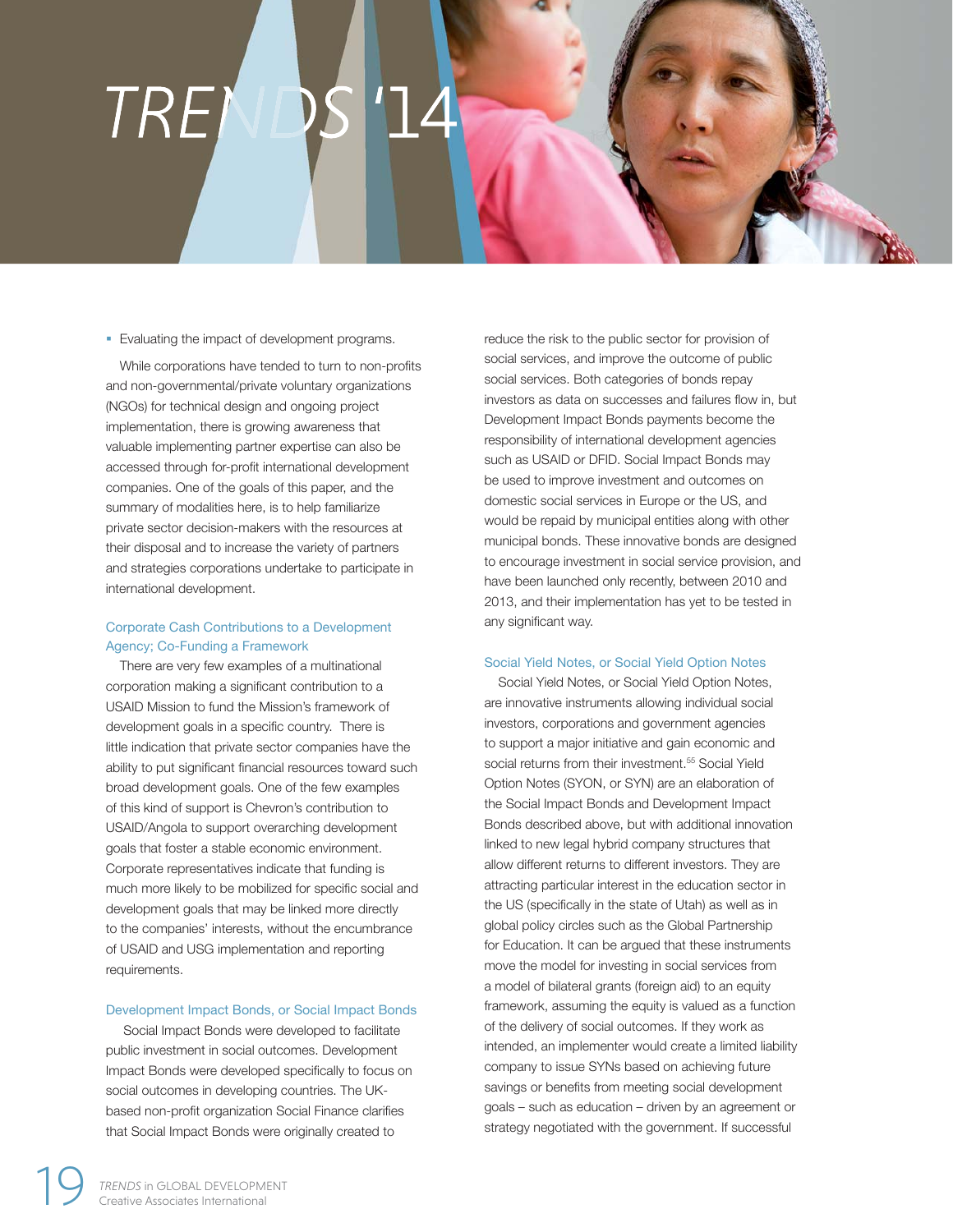# TRE

#### ■ Evaluating the impact of development programs.

While corporations have tended to turn to non-profits and non-governmental/private voluntary organizations (NGOs) for technical design and ongoing project implementation, there is growing awareness that valuable implementing partner expertise can also be accessed through for-profit international development companies. One of the goals of this paper, and the summary of modalities here, is to help familiarize private sector decision-makers with the resources at their disposal and to increase the variety of partners and strategies corporations undertake to participate in international development.

### Corporate Cash Contributions to a Development Agency; Co-Funding a Framework

There are very few examples of a multinational corporation making a significant contribution to a USAID Mission to fund the Mission's framework of development goals in a specific country. There is little indication that private sector companies have the ability to put significant financial resources toward such broad development goals. One of the few examples of this kind of support is Chevron's contribution to USAID/Angola to support overarching development goals that foster a stable economic environment. Corporate representatives indicate that funding is much more likely to be mobilized for specific social and development goals that may be linked more directly to the companies' interests, without the encumbrance of USAID and USG implementation and reporting requirements.

#### Development Impact Bonds, or Social Impact Bonds

 Social Impact Bonds were developed to facilitate public investment in social outcomes. Development Impact Bonds were developed specifically to focus on social outcomes in developing countries. The UKbased non-profit organization Social Finance clarifies that Social Impact Bonds were originally created to

reduce the risk to the public sector for provision of social services, and improve the outcome of public social services. Both categories of bonds repay investors as data on successes and failures flow in, but Development Impact Bonds payments become the responsibility of international development agencies such as USAID or DFID. Social Impact Bonds may be used to improve investment and outcomes on domestic social services in Europe or the US, and would be repaid by municipal entities along with other municipal bonds. These innovative bonds are designed to encourage investment in social service provision, and have been launched only recently, between 2010 and 2013, and their implementation has yet to be tested in any significant way.

#### Social Yield Notes, or Social Yield Option Notes

Social Yield Notes, or Social Yield Option Notes, are innovative instruments allowing individual social investors, corporations and government agencies to support a major initiative and gain economic and social returns from their investment.<sup>55</sup> Social Yield Option Notes (SYON, or SYN) are an elaboration of the Social Impact Bonds and Development Impact Bonds described above, but with additional innovation linked to new legal hybrid company structures that allow different returns to different investors. They are attracting particular interest in the education sector in the US (specifically in the state of Utah) as well as in global policy circles such as the Global Partnership for Education. It can be argued that these instruments move the model for investing in social services from a model of bilateral grants (foreign aid) to an equity framework, assuming the equity is valued as a function of the delivery of social outcomes. If they work as intended, an implementer would create a limited liability company to issue SYNs based on achieving future savings or benefits from meeting social development goals – such as education – driven by an agreement or strategy negotiated with the government. If successful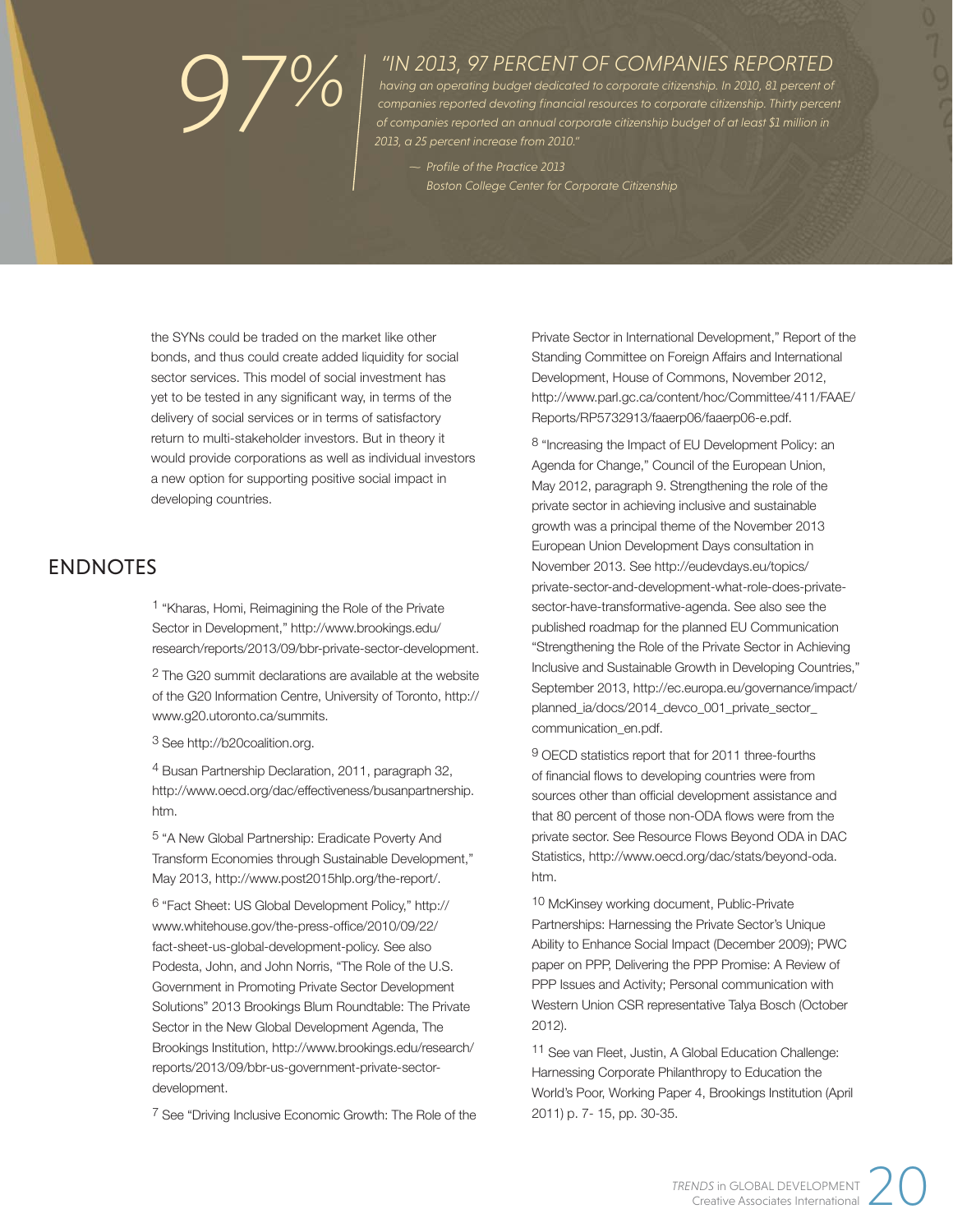# *97%*

# *"IN 2013, 97 PERCENT OF COMPANIES REPORTED*

*having an operating budget dedicated to corporate citizenship. In 2010, 81 percent of*  companies reported devoting financial resources to corporate citizenship. Thirty percent *of companies reported an annual corporate citizenship budget of at least \$1 million in 2013, a 25 percent increase from 2010."*

 $\sim$  Profile of the Practice 2013 *Boston College Center for Corporate Citizenship*

the SYNs could be traded on the market like other bonds, and thus could create added liquidity for social sector services. This model of social investment has yet to be tested in any significant way, in terms of the delivery of social services or in terms of satisfactory return to multi-stakeholder investors. But in theory it would provide corporations as well as individual investors a new option for supporting positive social impact in developing countries.

# ENDNOTES

1 "Kharas, Homi, Reimagining the Role of the Private Sector in Development," http://www.brookings.edu/ research/reports/2013/09/bbr-private-sector-development.

2 The G20 summit declarations are available at the website of the G20 Information Centre, University of Toronto, http:// www.g20.utoronto.ca/summits.

3 See http://b20coalition.org.

4 Busan Partnership Declaration, 2011, paragraph 32, http://www.oecd.org/dac/effectiveness/busanpartnership. htm.

5 "A New Global Partnership: Eradicate Poverty And Transform Economies through Sustainable Development," May 2013, http://www.post2015hlp.org/the-report/.

6 "Fact Sheet: US Global Development Policy," http:// www.whitehouse.gov/the-press-office/2010/09/22/ fact-sheet-us-global-development-policy. See also Podesta, John, and John Norris, "The Role of the U.S. Government in Promoting Private Sector Development Solutions" 2013 Brookings Blum Roundtable: The Private Sector in the New Global Development Agenda, The Brookings Institution, http://www.brookings.edu/research/ reports/2013/09/bbr-us-government-private-sectordevelopment.

7 See "Driving Inclusive Economic Growth: The Role of the

Private Sector in International Development," Report of the Standing Committee on Foreign Affairs and International Development, House of Commons, November 2012, http://www.parl.gc.ca/content/hoc/Committee/411/FAAE/ Reports/RP5732913/faaerp06/faaerp06-e.pdf.

8 "Increasing the Impact of EU Development Policy: an Agenda for Change," Council of the European Union, May 2012, paragraph 9. Strengthening the role of the private sector in achieving inclusive and sustainable growth was a principal theme of the November 2013 European Union Development Days consultation in November 2013. See http://eudevdays.eu/topics/ private-sector-and-development-what-role-does-privatesector-have-transformative-agenda. See also see the published roadmap for the planned EU Communication "Strengthening the Role of the Private Sector in Achieving Inclusive and Sustainable Growth in Developing Countries," September 2013, http://ec.europa.eu/governance/impact/ planned\_ia/docs/2014\_devco\_001\_private\_sector\_ communication\_en.pdf.

9 OECD statistics report that for 2011 three-fourths of financial flows to developing countries were from sources other than official development assistance and that 80 percent of those non-ODA flows were from the private sector. See Resource Flows Beyond ODA in DAC Statistics, http://www.oecd.org/dac/stats/beyond-oda. htm.

10 McKinsey working document, Public-Private Partnerships: Harnessing the Private Sector's Unique Ability to Enhance Social Impact (December 2009); PWC paper on PPP, Delivering the PPP Promise: A Review of PPP Issues and Activity; Personal communication with Western Union CSR representative Talya Bosch (October 2012).

11 See van Fleet, Justin, A Global Education Challenge: Harnessing Corporate Philanthropy to Education the World's Poor, Working Paper 4, Brookings Institution (April 2011) p. 7- 15, pp. 30-35.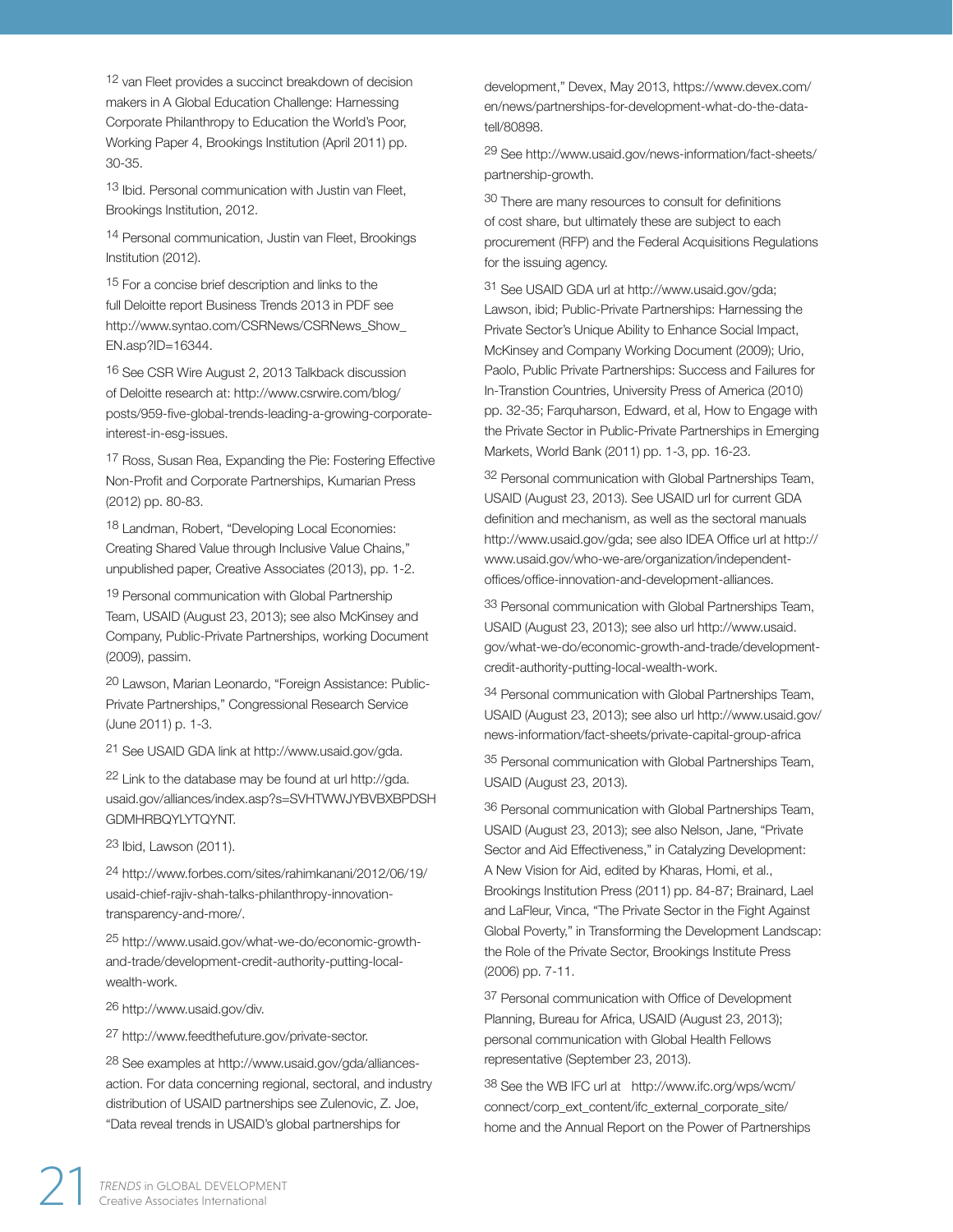12 van Fleet provides a succinct breakdown of decision makers in A Global Education Challenge: Harnessing Corporate Philanthropy to Education the World's Poor, Working Paper 4, Brookings Institution (April 2011) pp. 30-35.

13 Ibid. Personal communication with Justin van Fleet, Brookings Institution, 2012.

14 Personal communication, Justin van Fleet, Brookings Institution (2012).

15 For a concise brief description and links to the full Deloitte report Business Trends 2013 in PDF see http://www.syntao.com/CSRNews/CSRNews\_Show\_ EN.asp?ID=16344.

16 See CSR Wire August 2, 2013 Talkback discussion of Deloitte research at: http://www.csrwire.com/blog/ posts/959-five-global-trends-leading-a-growing-corporateinterest-in-esg-issues.

17 Ross, Susan Rea, Expanding the Pie: Fostering Effective Non-Profit and Corporate Partnerships, Kumarian Press (2012) pp. 80-83.

18 Landman, Robert, "Developing Local Economies: Creating Shared Value through Inclusive Value Chains," unpublished paper, Creative Associates (2013), pp. 1-2.

19 Personal communication with Global Partnership Team, USAID (August 23, 2013); see also McKinsey and Company, Public-Private Partnerships, working Document (2009), passim.

20 Lawson, Marian Leonardo, "Foreign Assistance: Public-Private Partnerships," Congressional Research Service (June 2011) p. 1-3.

21 See USAID GDA link at http://www.usaid.gov/gda.

22 Link to the database may be found at url http://gda. usaid.gov/alliances/index.asp?s=SVHTWWJYBVBXBPDSH GDMHRBQYLYTQYNT.

23 Ibid, Lawson (2011).

24 http://www.forbes.com/sites/rahimkanani/2012/06/19/ usaid-chief-rajiv-shah-talks-philanthropy-innovationtransparency-and-more/.

25 http://www.usaid.gov/what-we-do/economic-growthand-trade/development-credit-authority-putting-localwealth-work.

26 http://www.usaid.gov/div.

27 http://www.feedthefuture.gov/private-sector.

28 See examples at http://www.usaid.gov/gda/alliancesaction. For data concerning regional, sectoral, and industry distribution of USAID partnerships see Zulenovic, Z. Joe, "Data reveal trends in USAID's global partnerships for

development," Devex, May 2013, https://www.devex.com/ en/news/partnerships-for-development-what-do-the-datatell/80898.

29 See http://www.usaid.gov/news-information/fact-sheets/ partnership-growth.

30 There are many resources to consult for definitions of cost share, but ultimately these are subject to each procurement (RFP) and the Federal Acquisitions Regulations for the issuing agency.

31 See USAID GDA url at http://www.usaid.gov/gda; Lawson, ibid; Public-Private Partnerships: Harnessing the Private Sector's Unique Ability to Enhance Social Impact, McKinsey and Company Working Document (2009); Urio, Paolo, Public Private Partnerships: Success and Failures for In-Transtion Countries, University Press of America (2010) pp. 32-35; Farquharson, Edward, et al, How to Engage with the Private Sector in Public-Private Partnerships in Emerging Markets, World Bank (2011) pp. 1-3, pp. 16-23.

32 Personal communication with Global Partnerships Team, USAID (August 23, 2013). See USAID url for current GDA definition and mechanism, as well as the sectoral manuals http://www.usaid.gov/gda; see also IDEA Office url at http:// www.usaid.gov/who-we-are/organization/independentoffices/office-innovation-and-development-alliances.

33 Personal communication with Global Partnerships Team, USAID (August 23, 2013); see also url http://www.usaid. gov/what-we-do/economic-growth-and-trade/developmentcredit-authority-putting-local-wealth-work.

34 Personal communication with Global Partnerships Team, USAID (August 23, 2013); see also url http://www.usaid.gov/ news-information/fact-sheets/private-capital-group-africa

35 Personal communication with Global Partnerships Team, USAID (August 23, 2013).

36 Personal communication with Global Partnerships Team, USAID (August 23, 2013); see also Nelson, Jane, "Private Sector and Aid Effectiveness," in Catalyzing Development: A New Vision for Aid, edited by Kharas, Homi, et al., Brookings Institution Press (2011) pp. 84-87; Brainard, Lael and LaFleur, Vinca, "The Private Sector in the Fight Against Global Poverty," in Transforming the Development Landscap: the Role of the Private Sector, Brookings Institute Press (2006) pp. 7-11.

37 Personal communication with Office of Development Planning, Bureau for Africa, USAID (August 23, 2013); personal communication with Global Health Fellows representative (September 23, 2013).

38 See the WB IFC url at http://www.ifc.org/wps/wcm/ connect/corp\_ext\_content/ifc\_external\_corporate\_site/ home and the Annual Report on the Power of Partnerships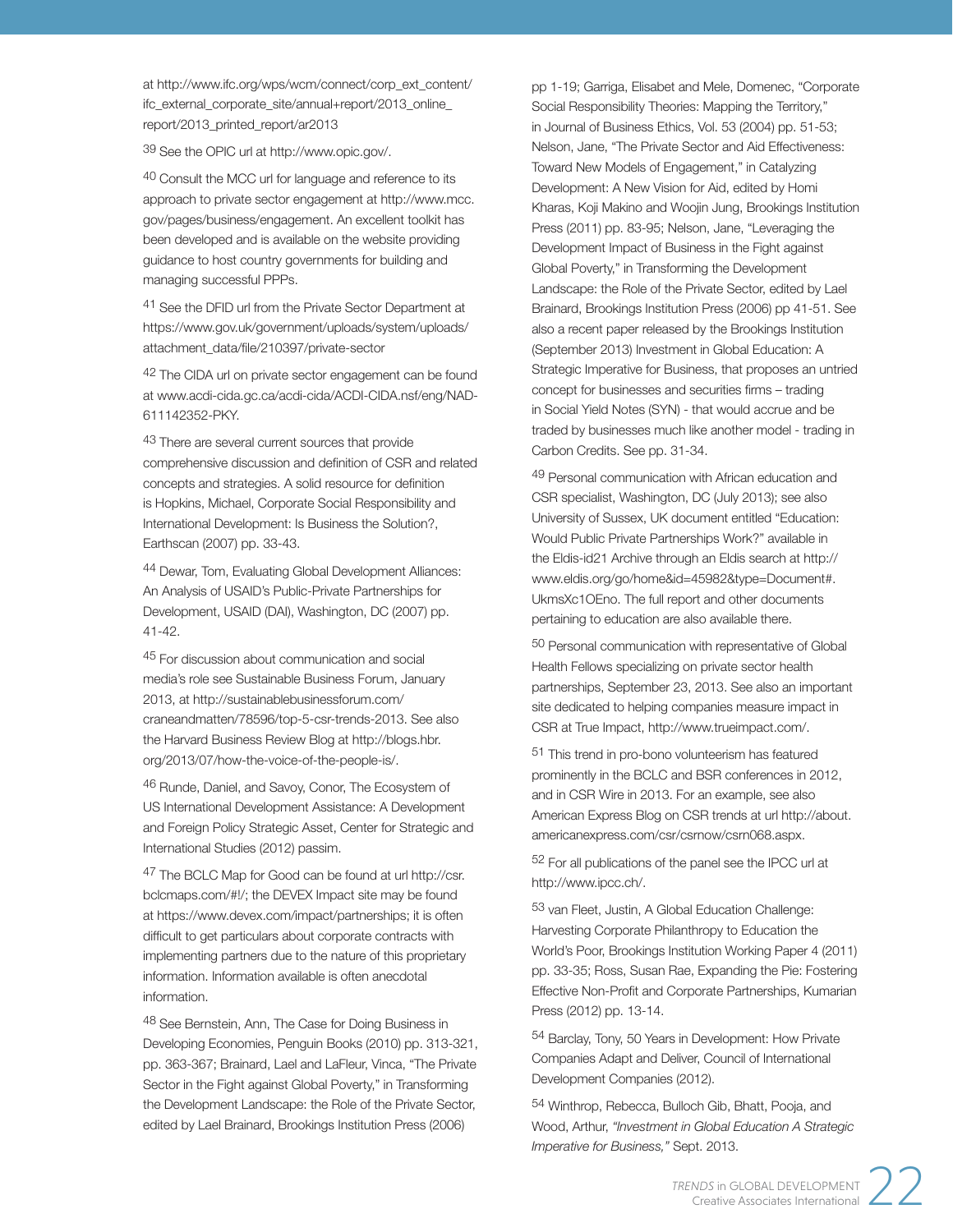at http://www.ifc.org/wps/wcm/connect/corp\_ext\_content/ ifc\_external\_corporate\_site/annual+report/2013\_online\_ report/2013\_printed\_report/ar2013

39 See the OPIC url at http://www.opic.gov/.

40 Consult the MCC url for language and reference to its approach to private sector engagement at http://www.mcc. gov/pages/business/engagement. An excellent toolkit has been developed and is available on the website providing guidance to host country governments for building and managing successful PPPs.

41 See the DFID url from the Private Sector Department at https://www.gov.uk/government/uploads/system/uploads/ attachment\_data/file/210397/private-sector

42 The CIDA url on private sector engagement can be found at www.acdi-cida.gc.ca/acdi-cida/ACDI-CIDA.nsf/eng/NAD-611142352-PKY.

43 There are several current sources that provide comprehensive discussion and definition of CSR and related concepts and strategies. A solid resource for definition is Hopkins, Michael, Corporate Social Responsibility and International Development: Is Business the Solution?, Earthscan (2007) pp. 33-43.

44 Dewar, Tom, Evaluating Global Development Alliances: An Analysis of USAID's Public-Private Partnerships for Development, USAID (DAI), Washington, DC (2007) pp. 41-42.

45 For discussion about communication and social media's role see Sustainable Business Forum, January 2013, at http://sustainablebusinessforum.com/ craneandmatten/78596/top-5-csr-trends-2013. See also the Harvard Business Review Blog at http://blogs.hbr. org/2013/07/how-the-voice-of-the-people-is/.

46 Runde, Daniel, and Savoy, Conor, The Ecosystem of US International Development Assistance: A Development and Foreign Policy Strategic Asset, Center for Strategic and International Studies (2012) passim.

47 The BCLC Map for Good can be found at url http://csr. bclcmaps.com/#!/; the DEVEX Impact site may be found at https://www.devex.com/impact/partnerships; it is often difficult to get particulars about corporate contracts with implementing partners due to the nature of this proprietary information. Information available is often anecdotal information.

48 See Bernstein, Ann, The Case for Doing Business in Developing Economies, Penguin Books (2010) pp. 313-321, pp. 363-367; Brainard, Lael and LaFleur, Vinca, "The Private Sector in the Fight against Global Poverty," in Transforming the Development Landscape: the Role of the Private Sector, edited by Lael Brainard, Brookings Institution Press (2006)

pp 1-19; Garriga, Elisabet and Mele, Domenec, "Corporate Social Responsibility Theories: Mapping the Territory," in Journal of Business Ethics, Vol. 53 (2004) pp. 51-53; Nelson, Jane, "The Private Sector and Aid Effectiveness: Toward New Models of Engagement," in Catalyzing Development: A New Vision for Aid, edited by Homi Kharas, Koji Makino and Woojin Jung, Brookings Institution Press (2011) pp. 83-95; Nelson, Jane, "Leveraging the Development Impact of Business in the Fight against Global Poverty," in Transforming the Development Landscape: the Role of the Private Sector, edited by Lael Brainard, Brookings Institution Press (2006) pp 41-51. See also a recent paper released by the Brookings Institution (September 2013) Investment in Global Education: A Strategic Imperative for Business, that proposes an untried concept for businesses and securities firms - trading in Social Yield Notes (SYN) - that would accrue and be traded by businesses much like another model - trading in Carbon Credits. See pp. 31-34.

49 Personal communication with African education and CSR specialist, Washington, DC (July 2013); see also University of Sussex, UK document entitled "Education: Would Public Private Partnerships Work?" available in the Eldis-id21 Archive through an Eldis search at http:// www.eldis.org/go/home&id=45982&type=Document#. UkmsXc1OEno. The full report and other documents pertaining to education are also available there.

50 Personal communication with representative of Global Health Fellows specializing on private sector health partnerships, September 23, 2013. See also an important site dedicated to helping companies measure impact in CSR at True Impact, http://www.trueimpact.com/.

51 This trend in pro-bono volunteerism has featured prominently in the BCLC and BSR conferences in 2012, and in CSR Wire in 2013. For an example, see also American Express Blog on CSR trends at url http://about. americanexpress.com/csr/csrnow/csrn068.aspx.

52 For all publications of the panel see the IPCC url at http://www.ipcc.ch/.

53 van Fleet, Justin, A Global Education Challenge: Harvesting Corporate Philanthropy to Education the World's Poor, Brookings Institution Working Paper 4 (2011) pp. 33-35; Ross, Susan Rae, Expanding the Pie: Fostering Effective Non-Profit and Corporate Partnerships, Kumarian Press (2012) pp. 13-14.

54 Barclay, Tony, 50 Years in Development: How Private Companies Adapt and Deliver, Council of International Development Companies (2012).

54 Winthrop, Rebecca, Bulloch Gib, Bhatt, Pooja, and Wood, Arthur, *"Investment in Global Education A Strategic Imperative for Business,"* Sept. 2013.